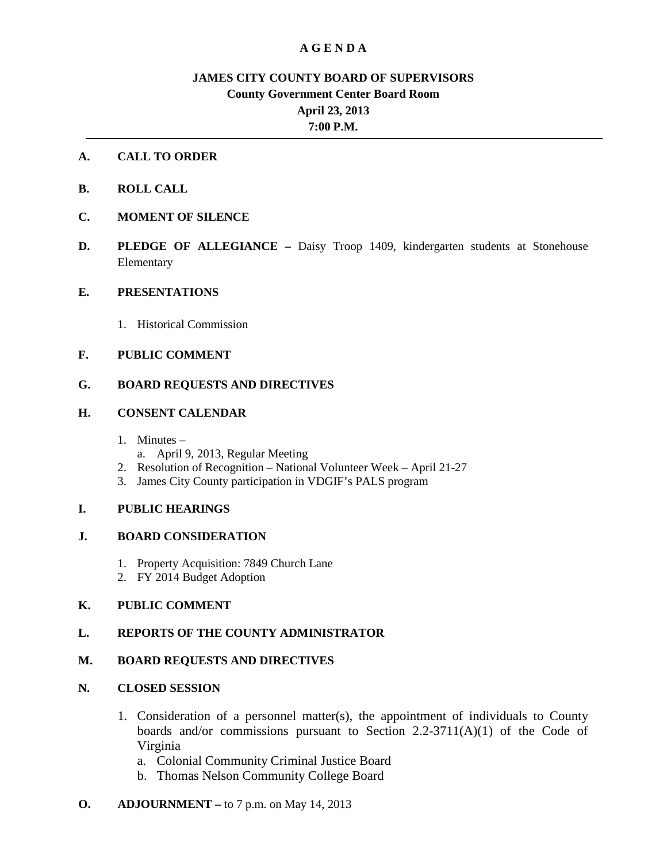## **A G E N D A**

# **JAMES CITY COUNTY BOARD OF SUPERVISORS County Government Center Board Room April 23, 2013 7:00 P.M.**

## **A. CALL TO ORDER**

- **B. ROLL CALL**
- **C. MOMENT OF SILENCE**
- **D. PLEDGE OF ALLEGIANCE –** Daisy Troop 1409, kindergarten students at Stonehouse Elementary

#### **E. PRESENTATIONS**

1. Historical Commission

## **F. PUBLIC COMMENT**

## **G. BOARD REQUESTS AND DIRECTIVES**

#### **H. CONSENT CALENDAR**

- 1. Minutes
	- a. April 9, 2013, Regular Meeting
- 2. Resolution of Recognition National Volunteer Week April 21-27
- 3. James City County participation in VDGIF's PALS program

#### **I. PUBLIC HEARINGS**

## **J. BOARD CONSIDERATION**

- 1. Property Acquisition: 7849 Church Lane
- 2. FY 2014 Budget Adoption

## **K. PUBLIC COMMENT**

## **L. REPORTS OF THE COUNTY ADMINISTRATOR**

#### **M. BOARD REQUESTS AND DIRECTIVES**

## **N. CLOSED SESSION**

- 1. Consideration of a personnel matter(s), the appointment of individuals to County boards and/or commissions pursuant to Section  $2.2\n-3711(A)(1)$  of the Code of Virginia
	- a. Colonial Community Criminal Justice Board
	- b. Thomas Nelson Community College Board

## **O. ADJOURNMENT –** to 7 p.m. on May 14, 2013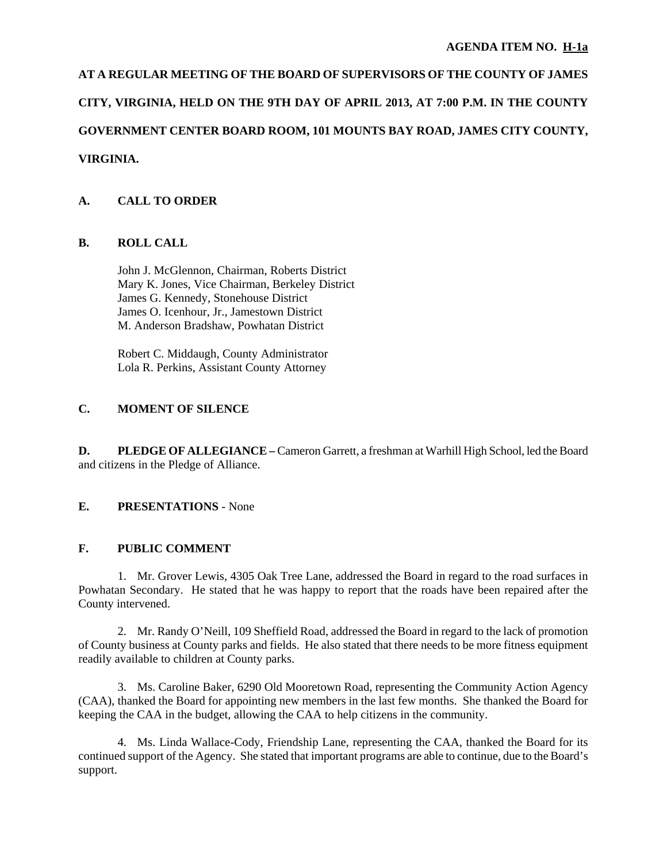# **AT A REGULAR MEETING OF THE BOARD OF SUPERVISORS OF THE COUNTY OF JAMES CITY, VIRGINIA, HELD ON THE 9TH DAY OF APRIL 2013, AT 7:00 P.M. IN THE COUNTY GOVERNMENT CENTER BOARD ROOM, 101 MOUNTS BAY ROAD, JAMES CITY COUNTY, VIRGINIA.**

# **A. CALL TO ORDER**

## **B. ROLL CALL**

 John J. McGlennon, Chairman, Roberts District Mary K. Jones, Vice Chairman, Berkeley District James G. Kennedy, Stonehouse District James O. Icenhour, Jr., Jamestown District M. Anderson Bradshaw, Powhatan District

 Robert C. Middaugh, County Administrator Lola R. Perkins, Assistant County Attorney

## **C. MOMENT OF SILENCE**

**D. PLEDGE OF ALLEGIANCE –** Cameron Garrett, a freshman at Warhill High School, led the Board and citizens in the Pledge of Alliance.

## **E. PRESENTATIONS** - None

## **F. PUBLIC COMMENT**

 1. Mr. Grover Lewis, 4305 Oak Tree Lane, addressed the Board in regard to the road surfaces in Powhatan Secondary. He stated that he was happy to report that the roads have been repaired after the County intervened.

 2. Mr. Randy O'Neill, 109 Sheffield Road, addressed the Board in regard to the lack of promotion of County business at County parks and fields. He also stated that there needs to be more fitness equipment readily available to children at County parks.

 3. Ms. Caroline Baker, 6290 Old Mooretown Road, representing the Community Action Agency (CAA), thanked the Board for appointing new members in the last few months. She thanked the Board for keeping the CAA in the budget, allowing the CAA to help citizens in the community.

 4. Ms. Linda Wallace-Cody, Friendship Lane, representing the CAA, thanked the Board for its continued support of the Agency. She stated that important programs are able to continue, due to the Board's support.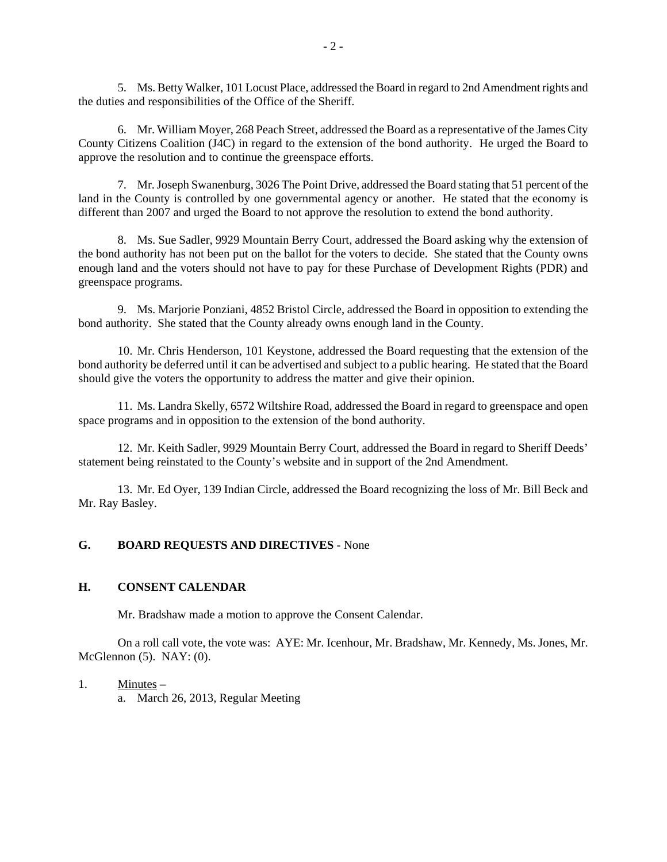5. Ms. Betty Walker, 101 Locust Place, addressed the Board in regard to 2nd Amendment rights and the duties and responsibilities of the Office of the Sheriff.

 6. Mr. William Moyer, 268 Peach Street, addressed the Board as a representative of the James City County Citizens Coalition (J4C) in regard to the extension of the bond authority. He urged the Board to approve the resolution and to continue the greenspace efforts.

 7. Mr. Joseph Swanenburg, 3026 The Point Drive, addressed the Board stating that 51 percent of the land in the County is controlled by one governmental agency or another. He stated that the economy is different than 2007 and urged the Board to not approve the resolution to extend the bond authority.

 8. Ms. Sue Sadler, 9929 Mountain Berry Court, addressed the Board asking why the extension of the bond authority has not been put on the ballot for the voters to decide. She stated that the County owns enough land and the voters should not have to pay for these Purchase of Development Rights (PDR) and greenspace programs.

 9. Ms. Marjorie Ponziani, 4852 Bristol Circle, addressed the Board in opposition to extending the bond authority. She stated that the County already owns enough land in the County.

 10. Mr. Chris Henderson, 101 Keystone, addressed the Board requesting that the extension of the bond authority be deferred until it can be advertised and subject to a public hearing. He stated that the Board should give the voters the opportunity to address the matter and give their opinion.

 11. Ms. Landra Skelly, 6572 Wiltshire Road, addressed the Board in regard to greenspace and open space programs and in opposition to the extension of the bond authority.

 12. Mr. Keith Sadler, 9929 Mountain Berry Court, addressed the Board in regard to Sheriff Deeds' statement being reinstated to the County's website and in support of the 2nd Amendment.

 13. Mr. Ed Oyer, 139 Indian Circle, addressed the Board recognizing the loss of Mr. Bill Beck and Mr. Ray Basley.

## **G. BOARD REQUESTS AND DIRECTIVES** - None

#### **H. CONSENT CALENDAR**

Mr. Bradshaw made a motion to approve the Consent Calendar.

 On a roll call vote, the vote was: AYE: Mr. Icenhour, Mr. Bradshaw, Mr. Kennedy, Ms. Jones, Mr. McGlennon (5). NAY: (0).

#### 1. Minutes –

a. March 26, 2013, Regular Meeting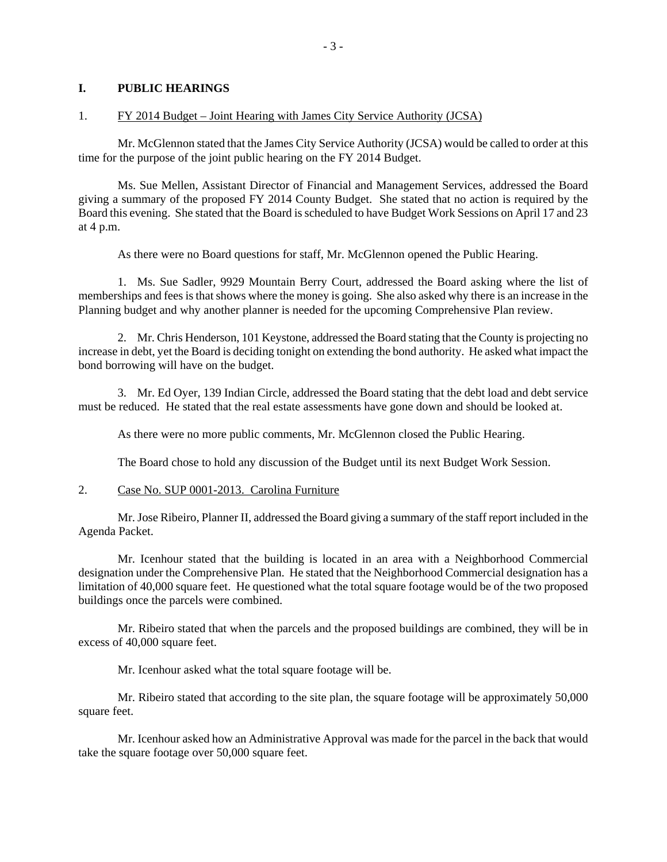#### **I. PUBLIC HEARINGS**

#### 1. FY 2014 Budget – Joint Hearing with James City Service Authority (JCSA)

 Mr. McGlennon stated that the James City Service Authority (JCSA) would be called to order at this time for the purpose of the joint public hearing on the FY 2014 Budget.

 Ms. Sue Mellen, Assistant Director of Financial and Management Services, addressed the Board giving a summary of the proposed FY 2014 County Budget. She stated that no action is required by the Board this evening. She stated that the Board is scheduled to have Budget Work Sessions on April 17 and 23 at 4 p.m.

As there were no Board questions for staff, Mr. McGlennon opened the Public Hearing.

 1. Ms. Sue Sadler, 9929 Mountain Berry Court, addressed the Board asking where the list of memberships and fees is that shows where the money is going. She also asked why there is an increase in the Planning budget and why another planner is needed for the upcoming Comprehensive Plan review.

 2. Mr. Chris Henderson, 101 Keystone, addressed the Board stating that the County is projecting no increase in debt, yet the Board is deciding tonight on extending the bond authority. He asked what impact the bond borrowing will have on the budget.

 3. Mr. Ed Oyer, 139 Indian Circle, addressed the Board stating that the debt load and debt service must be reduced. He stated that the real estate assessments have gone down and should be looked at.

As there were no more public comments, Mr. McGlennon closed the Public Hearing.

The Board chose to hold any discussion of the Budget until its next Budget Work Session.

#### 2. Case No. SUP 0001-2013. Carolina Furniture

 Mr. Jose Ribeiro, Planner II, addressed the Board giving a summary of the staff report included in the Agenda Packet.

 Mr. Icenhour stated that the building is located in an area with a Neighborhood Commercial designation under the Comprehensive Plan. He stated that the Neighborhood Commercial designation has a limitation of 40,000 square feet. He questioned what the total square footage would be of the two proposed buildings once the parcels were combined.

 Mr. Ribeiro stated that when the parcels and the proposed buildings are combined, they will be in excess of 40,000 square feet.

Mr. Icenhour asked what the total square footage will be.

 Mr. Ribeiro stated that according to the site plan, the square footage will be approximately 50,000 square feet.

 Mr. Icenhour asked how an Administrative Approval was made for the parcel in the back that would take the square footage over 50,000 square feet.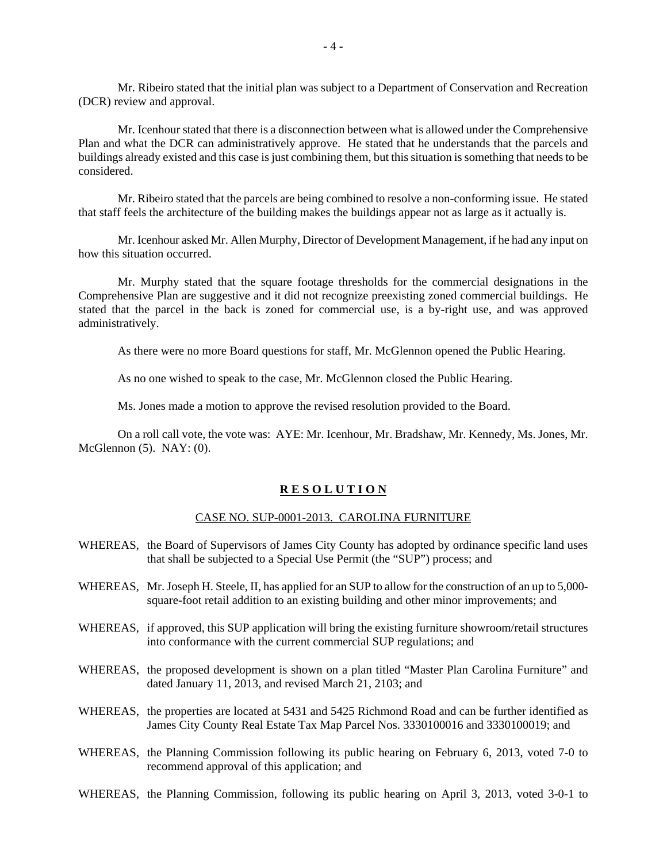Mr. Ribeiro stated that the initial plan was subject to a Department of Conservation and Recreation (DCR) review and approval.

 Mr. Icenhour stated that there is a disconnection between what is allowed under the Comprehensive Plan and what the DCR can administratively approve. He stated that he understands that the parcels and buildings already existed and this case is just combining them, but this situation is something that needs to be considered.

 Mr. Ribeiro stated that the parcels are being combined to resolve a non-conforming issue. He stated that staff feels the architecture of the building makes the buildings appear not as large as it actually is.

 Mr. Icenhour asked Mr. Allen Murphy, Director of Development Management, if he had any input on how this situation occurred.

 Mr. Murphy stated that the square footage thresholds for the commercial designations in the Comprehensive Plan are suggestive and it did not recognize preexisting zoned commercial buildings. He stated that the parcel in the back is zoned for commercial use, is a by-right use, and was approved administratively.

As there were no more Board questions for staff, Mr. McGlennon opened the Public Hearing.

As no one wished to speak to the case, Mr. McGlennon closed the Public Hearing.

Ms. Jones made a motion to approve the revised resolution provided to the Board.

 On a roll call vote, the vote was: AYE: Mr. Icenhour, Mr. Bradshaw, Mr. Kennedy, Ms. Jones, Mr. McGlennon (5). NAY: (0).

#### **R E S O L U T I O N**

#### CASE NO. SUP-0001-2013. CAROLINA FURNITURE

- WHEREAS, the Board of Supervisors of James City County has adopted by ordinance specific land uses that shall be subjected to a Special Use Permit (the "SUP") process; and
- WHEREAS, Mr. Joseph H. Steele, II, has applied for an SUP to allow for the construction of an up to 5,000square-foot retail addition to an existing building and other minor improvements; and
- WHEREAS, if approved, this SUP application will bring the existing furniture showroom/retail structures into conformance with the current commercial SUP regulations; and
- WHEREAS, the proposed development is shown on a plan titled "Master Plan Carolina Furniture" and dated January 11, 2013, and revised March 21, 2103; and
- WHEREAS, the properties are located at 5431 and 5425 Richmond Road and can be further identified as James City County Real Estate Tax Map Parcel Nos. 3330100016 and 3330100019; and
- WHEREAS, the Planning Commission following its public hearing on February 6, 2013, voted 7-0 to recommend approval of this application; and
- WHEREAS, the Planning Commission, following its public hearing on April 3, 2013, voted 3-0-1 to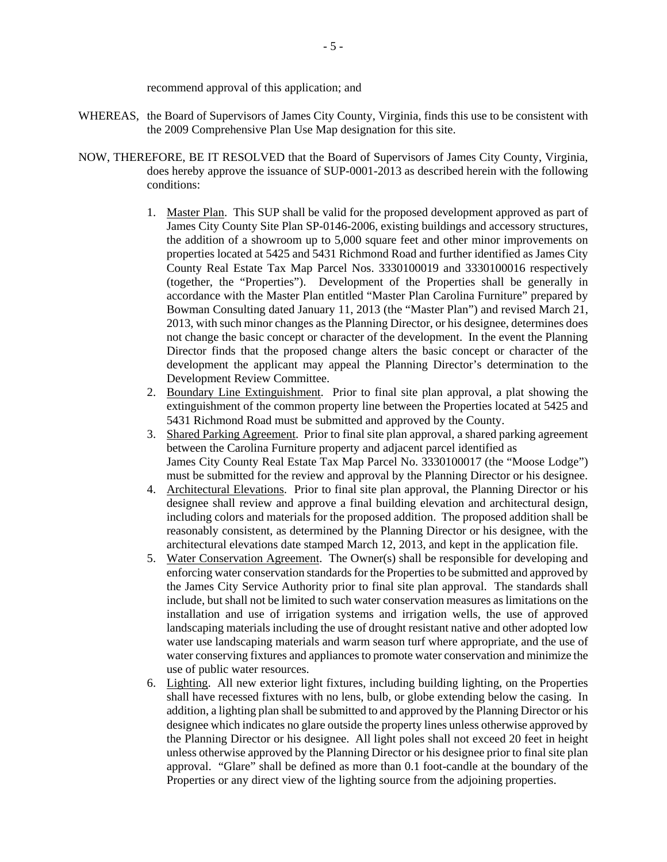recommend approval of this application; and

- WHEREAS, the Board of Supervisors of James City County, Virginia, finds this use to be consistent with the 2009 Comprehensive Plan Use Map designation for this site.
- NOW, THEREFORE, BE IT RESOLVED that the Board of Supervisors of James City County, Virginia, does hereby approve the issuance of SUP-0001-2013 as described herein with the following conditions:
	- 1. Master Plan. This SUP shall be valid for the proposed development approved as part of James City County Site Plan SP-0146-2006, existing buildings and accessory structures, the addition of a showroom up to 5,000 square feet and other minor improvements on properties located at 5425 and 5431 Richmond Road and further identified as James City County Real Estate Tax Map Parcel Nos. 3330100019 and 3330100016 respectively (together, the "Properties"). Development of the Properties shall be generally in accordance with the Master Plan entitled "Master Plan Carolina Furniture" prepared by Bowman Consulting dated January 11, 2013 (the "Master Plan") and revised March 21, 2013, with such minor changes as the Planning Director, or his designee, determines does not change the basic concept or character of the development. In the event the Planning Director finds that the proposed change alters the basic concept or character of the development the applicant may appeal the Planning Director's determination to the Development Review Committee.
	- 2. Boundary Line Extinguishment. Prior to final site plan approval, a plat showing the extinguishment of the common property line between the Properties located at 5425 and 5431 Richmond Road must be submitted and approved by the County.
	- 3. Shared Parking Agreement. Prior to final site plan approval, a shared parking agreement between the Carolina Furniture property and adjacent parcel identified as James City County Real Estate Tax Map Parcel No. 3330100017 (the "Moose Lodge") must be submitted for the review and approval by the Planning Director or his designee.
	- 4. Architectural Elevations. Prior to final site plan approval, the Planning Director or his designee shall review and approve a final building elevation and architectural design, including colors and materials for the proposed addition. The proposed addition shall be reasonably consistent, as determined by the Planning Director or his designee, with the architectural elevations date stamped March 12, 2013, and kept in the application file.
	- 5. Water Conservation Agreement. The Owner(s) shall be responsible for developing and enforcing water conservation standards for the Properties to be submitted and approved by the James City Service Authority prior to final site plan approval. The standards shall include, but shall not be limited to such water conservation measures as limitations on the installation and use of irrigation systems and irrigation wells, the use of approved landscaping materials including the use of drought resistant native and other adopted low water use landscaping materials and warm season turf where appropriate, and the use of water conserving fixtures and appliances to promote water conservation and minimize the use of public water resources.
	- 6. Lighting. All new exterior light fixtures, including building lighting, on the Properties shall have recessed fixtures with no lens, bulb, or globe extending below the casing. In addition, a lighting plan shall be submitted to and approved by the Planning Director or his designee which indicates no glare outside the property lines unless otherwise approved by the Planning Director or his designee. All light poles shall not exceed 20 feet in height unless otherwise approved by the Planning Director or his designee prior to final site plan approval. "Glare" shall be defined as more than 0.1 foot-candle at the boundary of the Properties or any direct view of the lighting source from the adjoining properties.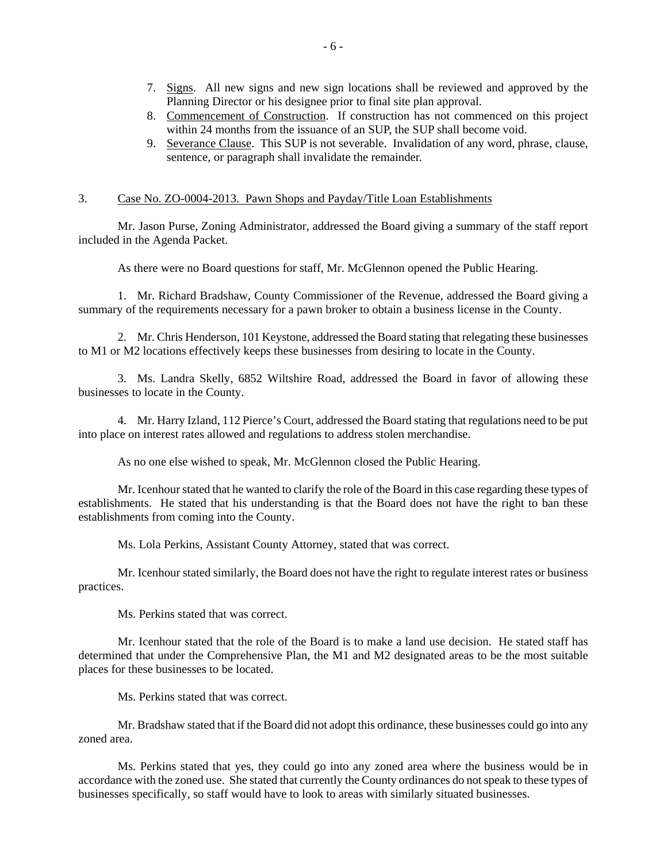- 7. Signs. All new signs and new sign locations shall be reviewed and approved by the Planning Director or his designee prior to final site plan approval.
- 8. Commencement of Construction. If construction has not commenced on this project within 24 months from the issuance of an SUP, the SUP shall become void.
- 9. Severance Clause. This SUP is not severable. Invalidation of any word, phrase, clause, sentence, or paragraph shall invalidate the remainder.

#### 3. Case No. ZO-0004-2013. Pawn Shops and Payday/Title Loan Establishments

 Mr. Jason Purse, Zoning Administrator, addressed the Board giving a summary of the staff report included in the Agenda Packet.

As there were no Board questions for staff, Mr. McGlennon opened the Public Hearing.

 1. Mr. Richard Bradshaw, County Commissioner of the Revenue, addressed the Board giving a summary of the requirements necessary for a pawn broker to obtain a business license in the County.

 2. Mr. Chris Henderson, 101 Keystone, addressed the Board stating that relegating these businesses to M1 or M2 locations effectively keeps these businesses from desiring to locate in the County.

 3. Ms. Landra Skelly, 6852 Wiltshire Road, addressed the Board in favor of allowing these businesses to locate in the County.

 4. Mr. Harry Izland, 112 Pierce's Court, addressed the Board stating that regulations need to be put into place on interest rates allowed and regulations to address stolen merchandise.

As no one else wished to speak, Mr. McGlennon closed the Public Hearing.

 Mr. Icenhour stated that he wanted to clarify the role of the Board in this case regarding these types of establishments. He stated that his understanding is that the Board does not have the right to ban these establishments from coming into the County.

Ms. Lola Perkins, Assistant County Attorney, stated that was correct.

 Mr. Icenhour stated similarly, the Board does not have the right to regulate interest rates or business practices.

Ms. Perkins stated that was correct.

 Mr. Icenhour stated that the role of the Board is to make a land use decision. He stated staff has determined that under the Comprehensive Plan, the M1 and M2 designated areas to be the most suitable places for these businesses to be located.

Ms. Perkins stated that was correct.

 Mr. Bradshaw stated that if the Board did not adopt this ordinance, these businesses could go into any zoned area.

 Ms. Perkins stated that yes, they could go into any zoned area where the business would be in accordance with the zoned use. She stated that currently the County ordinances do not speak to these types of businesses specifically, so staff would have to look to areas with similarly situated businesses.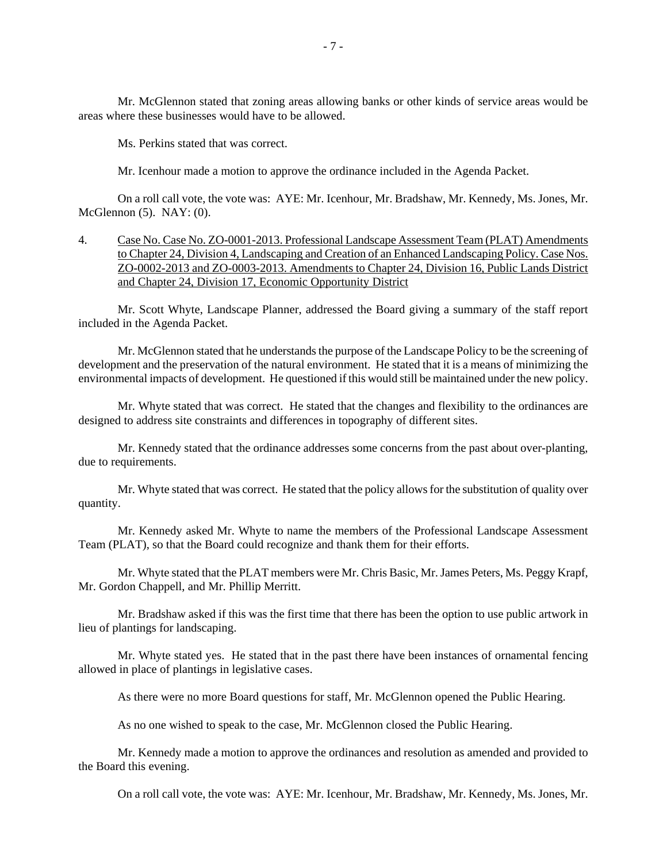Mr. McGlennon stated that zoning areas allowing banks or other kinds of service areas would be areas where these businesses would have to be allowed.

Ms. Perkins stated that was correct.

Mr. Icenhour made a motion to approve the ordinance included in the Agenda Packet.

 On a roll call vote, the vote was: AYE: Mr. Icenhour, Mr. Bradshaw, Mr. Kennedy, Ms. Jones, Mr. McGlennon (5). NAY: (0).

4. Case No. Case No. ZO-0001-2013. Professional Landscape Assessment Team (PLAT) Amendments to Chapter 24, Division 4, Landscaping and Creation of an Enhanced Landscaping Policy. Case Nos. ZO-0002-2013 and ZO-0003-2013. Amendments to Chapter 24, Division 16, Public Lands District and Chapter 24, Division 17, Economic Opportunity District

 Mr. Scott Whyte, Landscape Planner, addressed the Board giving a summary of the staff report included in the Agenda Packet.

 Mr. McGlennon stated that he understands the purpose of the Landscape Policy to be the screening of development and the preservation of the natural environment. He stated that it is a means of minimizing the environmental impacts of development. He questioned if this would still be maintained under the new policy.

 Mr. Whyte stated that was correct. He stated that the changes and flexibility to the ordinances are designed to address site constraints and differences in topography of different sites.

 Mr. Kennedy stated that the ordinance addresses some concerns from the past about over-planting, due to requirements.

 Mr. Whyte stated that was correct. He stated that the policy allows for the substitution of quality over quantity.

 Mr. Kennedy asked Mr. Whyte to name the members of the Professional Landscape Assessment Team (PLAT), so that the Board could recognize and thank them for their efforts.

 Mr. Whyte stated that the PLAT members were Mr. Chris Basic, Mr. James Peters, Ms. Peggy Krapf, Mr. Gordon Chappell, and Mr. Phillip Merritt.

 Mr. Bradshaw asked if this was the first time that there has been the option to use public artwork in lieu of plantings for landscaping.

 Mr. Whyte stated yes. He stated that in the past there have been instances of ornamental fencing allowed in place of plantings in legislative cases.

As there were no more Board questions for staff, Mr. McGlennon opened the Public Hearing.

As no one wished to speak to the case, Mr. McGlennon closed the Public Hearing.

 Mr. Kennedy made a motion to approve the ordinances and resolution as amended and provided to the Board this evening.

On a roll call vote, the vote was: AYE: Mr. Icenhour, Mr. Bradshaw, Mr. Kennedy, Ms. Jones, Mr.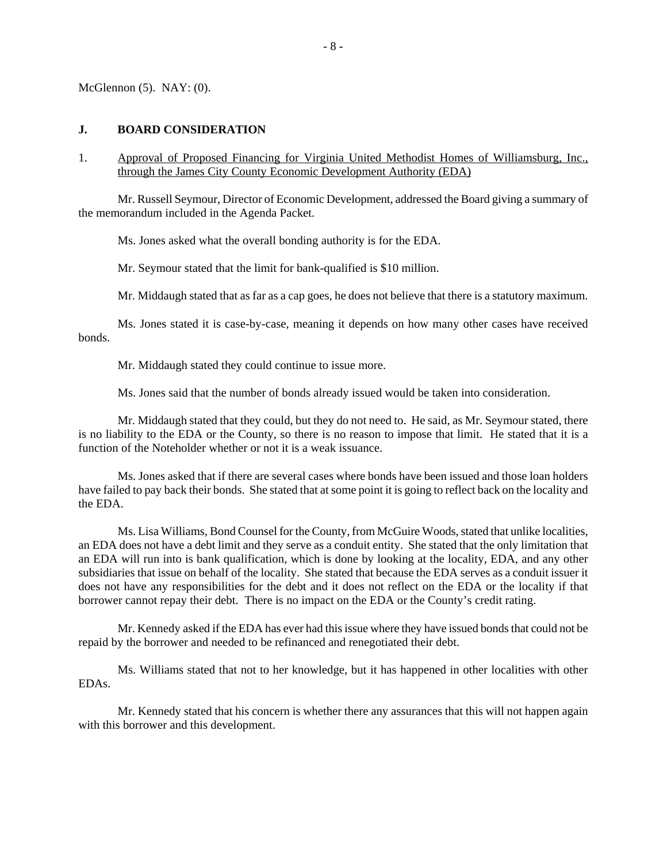McGlennon  $(5)$ . NAY:  $(0)$ .

#### **J. BOARD CONSIDERATION**

1. Approval of Proposed Financing for Virginia United Methodist Homes of Williamsburg, Inc., through the James City County Economic Development Authority (EDA)

 Mr. Russell Seymour, Director of Economic Development, addressed the Board giving a summary of the memorandum included in the Agenda Packet.

Ms. Jones asked what the overall bonding authority is for the EDA.

Mr. Seymour stated that the limit for bank-qualified is \$10 million.

Mr. Middaugh stated that as far as a cap goes, he does not believe that there is a statutory maximum.

 Ms. Jones stated it is case-by-case, meaning it depends on how many other cases have received bonds.

Mr. Middaugh stated they could continue to issue more.

Ms. Jones said that the number of bonds already issued would be taken into consideration.

 Mr. Middaugh stated that they could, but they do not need to. He said, as Mr. Seymour stated, there is no liability to the EDA or the County, so there is no reason to impose that limit. He stated that it is a function of the Noteholder whether or not it is a weak issuance.

 Ms. Jones asked that if there are several cases where bonds have been issued and those loan holders have failed to pay back their bonds. She stated that at some point it is going to reflect back on the locality and the EDA.

 Ms. Lisa Williams, Bond Counsel for the County, from McGuire Woods, stated that unlike localities, an EDA does not have a debt limit and they serve as a conduit entity. She stated that the only limitation that an EDA will run into is bank qualification, which is done by looking at the locality, EDA, and any other subsidiaries that issue on behalf of the locality. She stated that because the EDA serves as a conduit issuer it does not have any responsibilities for the debt and it does not reflect on the EDA or the locality if that borrower cannot repay their debt. There is no impact on the EDA or the County's credit rating.

 Mr. Kennedy asked if the EDA has ever had this issue where they have issued bonds that could not be repaid by the borrower and needed to be refinanced and renegotiated their debt.

 Ms. Williams stated that not to her knowledge, but it has happened in other localities with other EDAs.

 Mr. Kennedy stated that his concern is whether there any assurances that this will not happen again with this borrower and this development.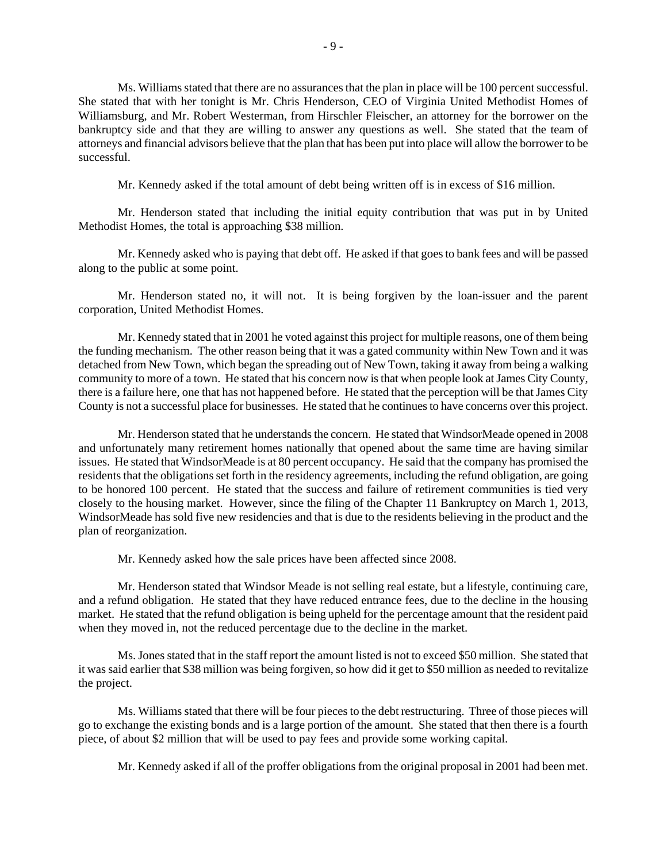Ms. Williams stated that there are no assurances that the plan in place will be 100 percent successful. She stated that with her tonight is Mr. Chris Henderson, CEO of Virginia United Methodist Homes of Williamsburg, and Mr. Robert Westerman, from Hirschler Fleischer, an attorney for the borrower on the bankruptcy side and that they are willing to answer any questions as well. She stated that the team of attorneys and financial advisors believe that the plan that has been put into place will allow the borrower to be successful.

Mr. Kennedy asked if the total amount of debt being written off is in excess of \$16 million.

 Mr. Henderson stated that including the initial equity contribution that was put in by United Methodist Homes, the total is approaching \$38 million.

 Mr. Kennedy asked who is paying that debt off. He asked if that goes to bank fees and will be passed along to the public at some point.

 Mr. Henderson stated no, it will not. It is being forgiven by the loan-issuer and the parent corporation, United Methodist Homes.

 Mr. Kennedy stated that in 2001 he voted against this project for multiple reasons, one of them being the funding mechanism. The other reason being that it was a gated community within New Town and it was detached from New Town, which began the spreading out of New Town, taking it away from being a walking community to more of a town. He stated that his concern now is that when people look at James City County, there is a failure here, one that has not happened before. He stated that the perception will be that James City County is not a successful place for businesses. He stated that he continues to have concerns over this project.

 Mr. Henderson stated that he understands the concern. He stated that WindsorMeade opened in 2008 and unfortunately many retirement homes nationally that opened about the same time are having similar issues. He stated that WindsorMeade is at 80 percent occupancy. He said that the company has promised the residents that the obligations set forth in the residency agreements, including the refund obligation, are going to be honored 100 percent. He stated that the success and failure of retirement communities is tied very closely to the housing market. However, since the filing of the Chapter 11 Bankruptcy on March 1, 2013, WindsorMeade has sold five new residencies and that is due to the residents believing in the product and the plan of reorganization.

Mr. Kennedy asked how the sale prices have been affected since 2008.

 Mr. Henderson stated that Windsor Meade is not selling real estate, but a lifestyle, continuing care, and a refund obligation. He stated that they have reduced entrance fees, due to the decline in the housing market. He stated that the refund obligation is being upheld for the percentage amount that the resident paid when they moved in, not the reduced percentage due to the decline in the market.

 Ms. Jones stated that in the staff report the amount listed is not to exceed \$50 million. She stated that it was said earlier that \$38 million was being forgiven, so how did it get to \$50 million as needed to revitalize the project.

 Ms. Williams stated that there will be four pieces to the debt restructuring. Three of those pieces will go to exchange the existing bonds and is a large portion of the amount. She stated that then there is a fourth piece, of about \$2 million that will be used to pay fees and provide some working capital.

Mr. Kennedy asked if all of the proffer obligations from the original proposal in 2001 had been met.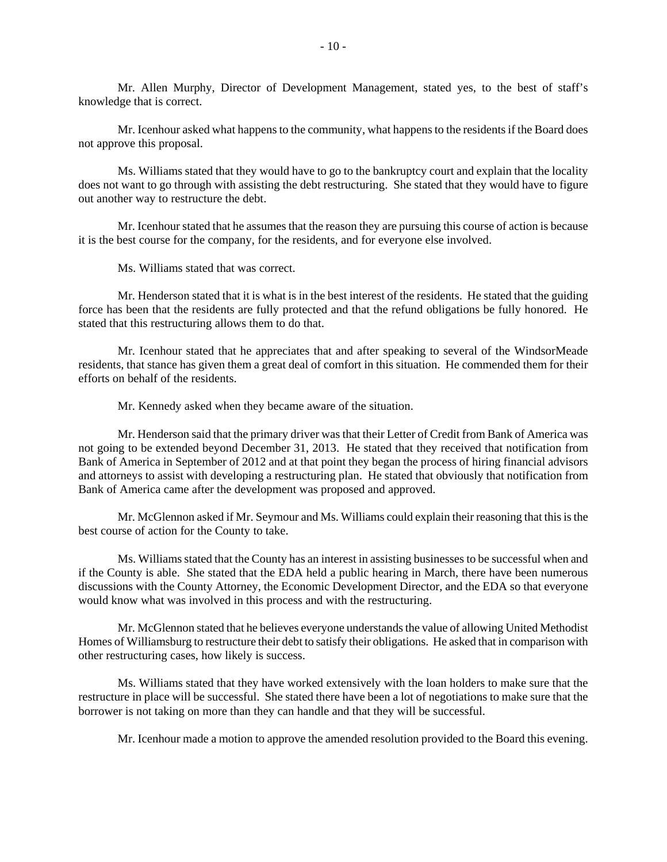Mr. Allen Murphy, Director of Development Management, stated yes, to the best of staff's knowledge that is correct.

 Mr. Icenhour asked what happens to the community, what happens to the residents if the Board does not approve this proposal.

 Ms. Williams stated that they would have to go to the bankruptcy court and explain that the locality does not want to go through with assisting the debt restructuring. She stated that they would have to figure out another way to restructure the debt.

 Mr. Icenhour stated that he assumes that the reason they are pursuing this course of action is because it is the best course for the company, for the residents, and for everyone else involved.

Ms. Williams stated that was correct.

 Mr. Henderson stated that it is what is in the best interest of the residents. He stated that the guiding force has been that the residents are fully protected and that the refund obligations be fully honored. He stated that this restructuring allows them to do that.

 Mr. Icenhour stated that he appreciates that and after speaking to several of the WindsorMeade residents, that stance has given them a great deal of comfort in this situation. He commended them for their efforts on behalf of the residents.

Mr. Kennedy asked when they became aware of the situation.

 Mr. Henderson said that the primary driver was that their Letter of Credit from Bank of America was not going to be extended beyond December 31, 2013. He stated that they received that notification from Bank of America in September of 2012 and at that point they began the process of hiring financial advisors and attorneys to assist with developing a restructuring plan. He stated that obviously that notification from Bank of America came after the development was proposed and approved.

 Mr. McGlennon asked if Mr. Seymour and Ms. Williams could explain their reasoning that this is the best course of action for the County to take.

 Ms. Williams stated that the County has an interest in assisting businesses to be successful when and if the County is able. She stated that the EDA held a public hearing in March, there have been numerous discussions with the County Attorney, the Economic Development Director, and the EDA so that everyone would know what was involved in this process and with the restructuring.

 Mr. McGlennon stated that he believes everyone understands the value of allowing United Methodist Homes of Williamsburg to restructure their debt to satisfy their obligations. He asked that in comparison with other restructuring cases, how likely is success.

 Ms. Williams stated that they have worked extensively with the loan holders to make sure that the restructure in place will be successful. She stated there have been a lot of negotiations to make sure that the borrower is not taking on more than they can handle and that they will be successful.

Mr. Icenhour made a motion to approve the amended resolution provided to the Board this evening.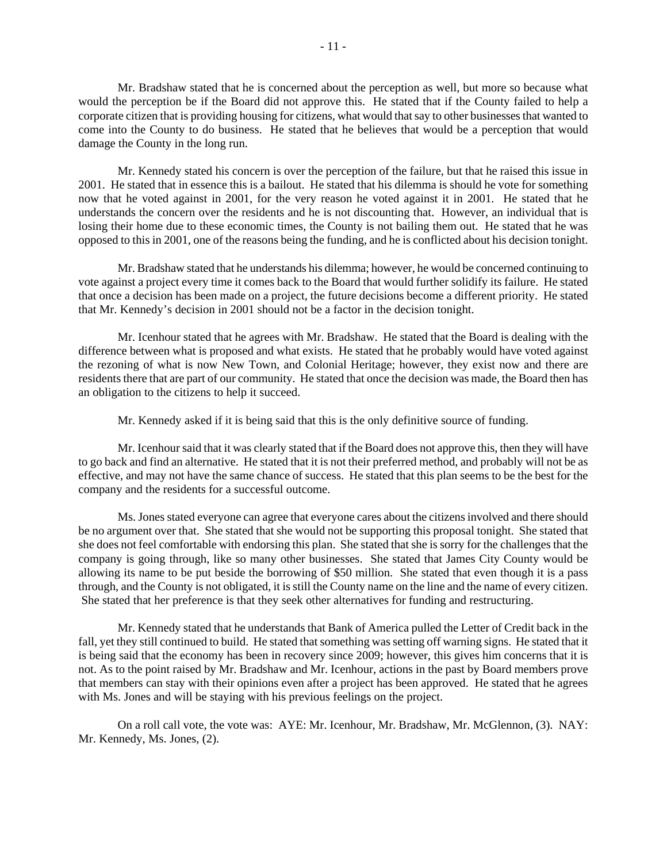Mr. Bradshaw stated that he is concerned about the perception as well, but more so because what would the perception be if the Board did not approve this. He stated that if the County failed to help a corporate citizen that is providing housing for citizens, what would that say to other businesses that wanted to come into the County to do business. He stated that he believes that would be a perception that would damage the County in the long run.

 Mr. Kennedy stated his concern is over the perception of the failure, but that he raised this issue in 2001. He stated that in essence this is a bailout. He stated that his dilemma is should he vote for something now that he voted against in 2001, for the very reason he voted against it in 2001. He stated that he understands the concern over the residents and he is not discounting that. However, an individual that is losing their home due to these economic times, the County is not bailing them out. He stated that he was opposed to this in 2001, one of the reasons being the funding, and he is conflicted about his decision tonight.

 Mr. Bradshaw stated that he understands his dilemma; however, he would be concerned continuing to vote against a project every time it comes back to the Board that would further solidify its failure. He stated that once a decision has been made on a project, the future decisions become a different priority. He stated that Mr. Kennedy's decision in 2001 should not be a factor in the decision tonight.

 Mr. Icenhour stated that he agrees with Mr. Bradshaw. He stated that the Board is dealing with the difference between what is proposed and what exists. He stated that he probably would have voted against the rezoning of what is now New Town, and Colonial Heritage; however, they exist now and there are residents there that are part of our community. He stated that once the decision was made, the Board then has an obligation to the citizens to help it succeed.

Mr. Kennedy asked if it is being said that this is the only definitive source of funding.

 Mr. Icenhour said that it was clearly stated that if the Board does not approve this, then they will have to go back and find an alternative. He stated that it is not their preferred method, and probably will not be as effective, and may not have the same chance of success. He stated that this plan seems to be the best for the company and the residents for a successful outcome.

 Ms. Jones stated everyone can agree that everyone cares about the citizens involved and there should be no argument over that. She stated that she would not be supporting this proposal tonight. She stated that she does not feel comfortable with endorsing this plan. She stated that she is sorry for the challenges that the company is going through, like so many other businesses. She stated that James City County would be allowing its name to be put beside the borrowing of \$50 million. She stated that even though it is a pass through, and the County is not obligated, it is still the County name on the line and the name of every citizen. She stated that her preference is that they seek other alternatives for funding and restructuring.

 Mr. Kennedy stated that he understands that Bank of America pulled the Letter of Credit back in the fall, yet they still continued to build. He stated that something was setting off warning signs. He stated that it is being said that the economy has been in recovery since 2009; however, this gives him concerns that it is not. As to the point raised by Mr. Bradshaw and Mr. Icenhour, actions in the past by Board members prove that members can stay with their opinions even after a project has been approved. He stated that he agrees with Ms. Jones and will be staying with his previous feelings on the project.

 On a roll call vote, the vote was: AYE: Mr. Icenhour, Mr. Bradshaw, Mr. McGlennon, (3). NAY: Mr. Kennedy, Ms. Jones, (2).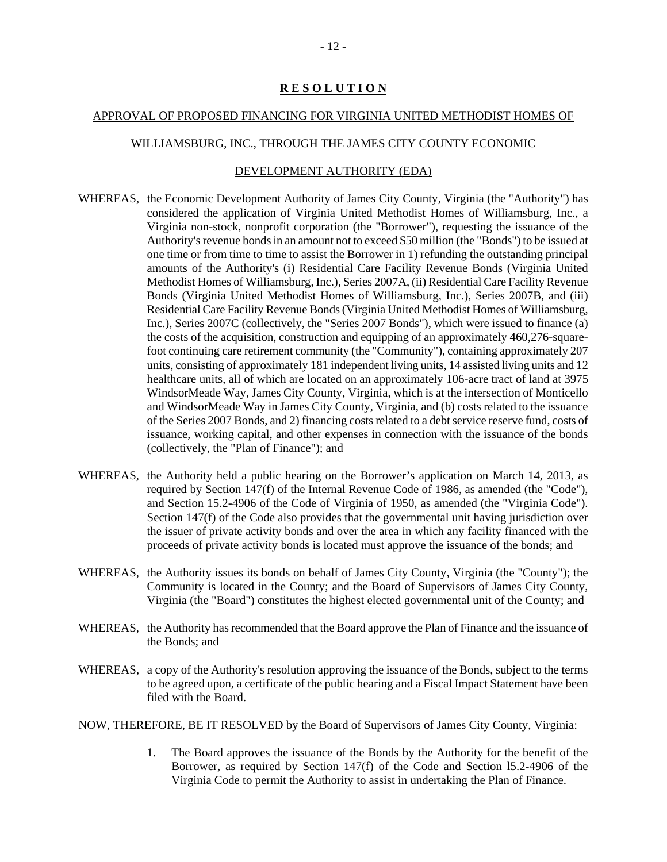#### **R E S O L U T I O N**

#### APPROVAL OF PROPOSED FINANCING FOR VIRGINIA UNITED METHODIST HOMES OF

#### WILLIAMSBURG, INC., THROUGH THE JAMES CITY COUNTY ECONOMIC

#### DEVELOPMENT AUTHORITY (EDA)

- WHEREAS, the Economic Development Authority of James City County, Virginia (the "Authority") has considered the application of Virginia United Methodist Homes of Williamsburg, Inc., a Virginia non-stock, nonprofit corporation (the "Borrower"), requesting the issuance of the Authority's revenue bonds in an amount not to exceed \$50 million (the "Bonds") to be issued at one time or from time to time to assist the Borrower in 1) refunding the outstanding principal amounts of the Authority's (i) Residential Care Facility Revenue Bonds (Virginia United Methodist Homes of Williamsburg, Inc.), Series 2007A, (ii) Residential Care Facility Revenue Bonds (Virginia United Methodist Homes of Williamsburg, Inc.), Series 2007B, and (iii) Residential Care Facility Revenue Bonds (Virginia United Methodist Homes of Williamsburg, Inc.), Series 2007C (collectively, the "Series 2007 Bonds"), which were issued to finance (a) the costs of the acquisition, construction and equipping of an approximately 460,276-squarefoot continuing care retirement community (the "Community"), containing approximately 207 units, consisting of approximately 181 independent living units, 14 assisted living units and 12 healthcare units, all of which are located on an approximately 106-acre tract of land at 3975 WindsorMeade Way, James City County, Virginia, which is at the intersection of Monticello and WindsorMeade Way in James City County, Virginia, and (b) costs related to the issuance of the Series 2007 Bonds, and 2) financing costs related to a debt service reserve fund, costs of issuance, working capital, and other expenses in connection with the issuance of the bonds (collectively, the "Plan of Finance"); and
- WHEREAS, the Authority held a public hearing on the Borrower's application on March 14, 2013, as required by Section 147(f) of the Internal Revenue Code of 1986, as amended (the "Code"), and Section 15.2-4906 of the Code of Virginia of 1950, as amended (the "Virginia Code"). Section 147(f) of the Code also provides that the governmental unit having jurisdiction over the issuer of private activity bonds and over the area in which any facility financed with the proceeds of private activity bonds is located must approve the issuance of the bonds; and
- WHEREAS, the Authority issues its bonds on behalf of James City County, Virginia (the "County"); the Community is located in the County; and the Board of Supervisors of James City County, Virginia (the "Board") constitutes the highest elected governmental unit of the County; and
- WHEREAS, the Authority has recommended that the Board approve the Plan of Finance and the issuance of the Bonds; and
- WHEREAS, a copy of the Authority's resolution approving the issuance of the Bonds, subject to the terms to be agreed upon, a certificate of the public hearing and a Fiscal Impact Statement have been filed with the Board.

NOW, THEREFORE, BE IT RESOLVED by the Board of Supervisors of James City County, Virginia:

1. The Board approves the issuance of the Bonds by the Authority for the benefit of the Borrower, as required by Section 147(f) of the Code and Section l5.2-4906 of the Virginia Code to permit the Authority to assist in undertaking the Plan of Finance.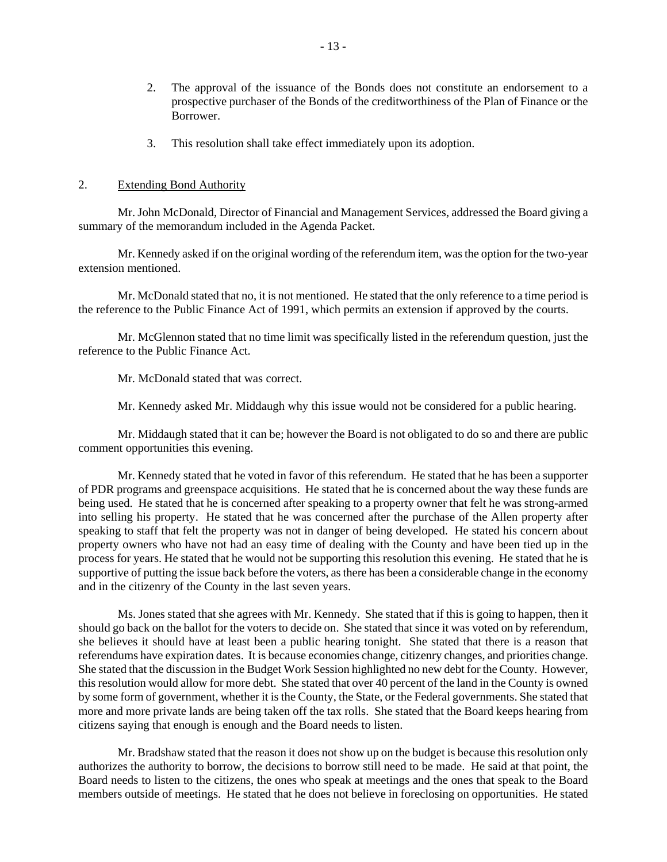- 2. The approval of the issuance of the Bonds does not constitute an endorsement to a prospective purchaser of the Bonds of the creditworthiness of the Plan of Finance or the Borrower.
- 3. This resolution shall take effect immediately upon its adoption.

#### 2. Extending Bond Authority

 Mr. John McDonald, Director of Financial and Management Services, addressed the Board giving a summary of the memorandum included in the Agenda Packet.

 Mr. Kennedy asked if on the original wording of the referendum item, was the option for the two-year extension mentioned.

 Mr. McDonald stated that no, it is not mentioned. He stated that the only reference to a time period is the reference to the Public Finance Act of 1991, which permits an extension if approved by the courts.

 Mr. McGlennon stated that no time limit was specifically listed in the referendum question, just the reference to the Public Finance Act.

Mr. McDonald stated that was correct.

Mr. Kennedy asked Mr. Middaugh why this issue would not be considered for a public hearing.

 Mr. Middaugh stated that it can be; however the Board is not obligated to do so and there are public comment opportunities this evening.

 Mr. Kennedy stated that he voted in favor of this referendum. He stated that he has been a supporter of PDR programs and greenspace acquisitions. He stated that he is concerned about the way these funds are being used. He stated that he is concerned after speaking to a property owner that felt he was strong-armed into selling his property. He stated that he was concerned after the purchase of the Allen property after speaking to staff that felt the property was not in danger of being developed. He stated his concern about property owners who have not had an easy time of dealing with the County and have been tied up in the process for years. He stated that he would not be supporting this resolution this evening. He stated that he is supportive of putting the issue back before the voters, as there has been a considerable change in the economy and in the citizenry of the County in the last seven years.

 Ms. Jones stated that she agrees with Mr. Kennedy. She stated that if this is going to happen, then it should go back on the ballot for the voters to decide on. She stated that since it was voted on by referendum, she believes it should have at least been a public hearing tonight. She stated that there is a reason that referendums have expiration dates. It is because economies change, citizenry changes, and priorities change. She stated that the discussion in the Budget Work Session highlighted no new debt for the County. However, this resolution would allow for more debt. She stated that over 40 percent of the land in the County is owned by some form of government, whether it is the County, the State, or the Federal governments. She stated that more and more private lands are being taken off the tax rolls. She stated that the Board keeps hearing from citizens saying that enough is enough and the Board needs to listen.

 Mr. Bradshaw stated that the reason it does not show up on the budget is because this resolution only authorizes the authority to borrow, the decisions to borrow still need to be made. He said at that point, the Board needs to listen to the citizens, the ones who speak at meetings and the ones that speak to the Board members outside of meetings. He stated that he does not believe in foreclosing on opportunities. He stated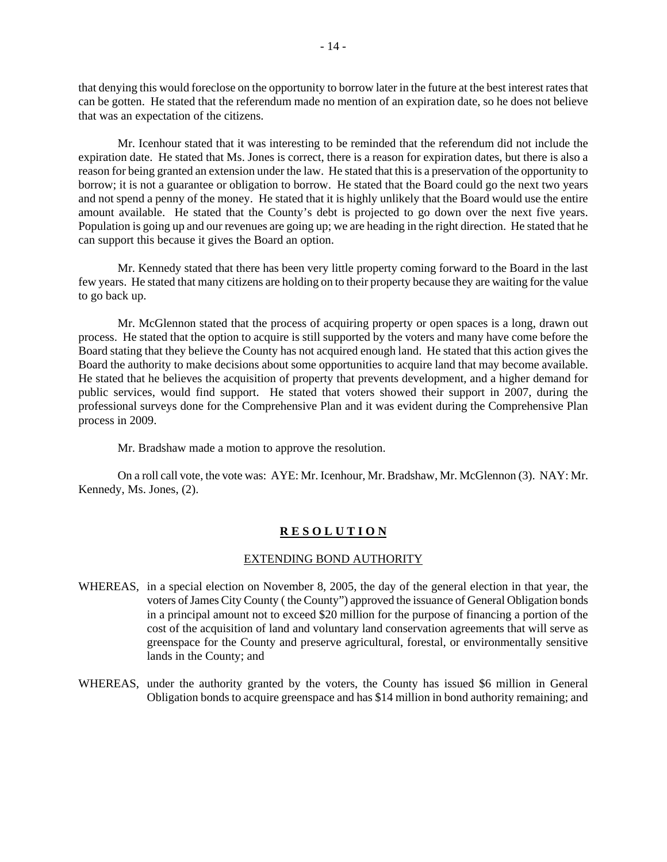that denying this would foreclose on the opportunity to borrow later in the future at the best interest rates that can be gotten. He stated that the referendum made no mention of an expiration date, so he does not believe that was an expectation of the citizens.

 Mr. Icenhour stated that it was interesting to be reminded that the referendum did not include the expiration date. He stated that Ms. Jones is correct, there is a reason for expiration dates, but there is also a reason for being granted an extension under the law. He stated that this is a preservation of the opportunity to borrow; it is not a guarantee or obligation to borrow. He stated that the Board could go the next two years and not spend a penny of the money. He stated that it is highly unlikely that the Board would use the entire amount available. He stated that the County's debt is projected to go down over the next five years. Population is going up and our revenues are going up; we are heading in the right direction. He stated that he can support this because it gives the Board an option.

 Mr. Kennedy stated that there has been very little property coming forward to the Board in the last few years. He stated that many citizens are holding on to their property because they are waiting for the value to go back up.

 Mr. McGlennon stated that the process of acquiring property or open spaces is a long, drawn out process. He stated that the option to acquire is still supported by the voters and many have come before the Board stating that they believe the County has not acquired enough land. He stated that this action gives the Board the authority to make decisions about some opportunities to acquire land that may become available. He stated that he believes the acquisition of property that prevents development, and a higher demand for public services, would find support. He stated that voters showed their support in 2007, during the professional surveys done for the Comprehensive Plan and it was evident during the Comprehensive Plan process in 2009.

Mr. Bradshaw made a motion to approve the resolution.

 On a roll call vote, the vote was: AYE: Mr. Icenhour, Mr. Bradshaw, Mr. McGlennon (3). NAY: Mr. Kennedy, Ms. Jones, (2).

#### **R E S O L U T I O N**

#### EXTENDING BOND AUTHORITY

- WHEREAS, in a special election on November 8, 2005, the day of the general election in that year, the voters of James City County ( the County") approved the issuance of General Obligation bonds in a principal amount not to exceed \$20 million for the purpose of financing a portion of the cost of the acquisition of land and voluntary land conservation agreements that will serve as greenspace for the County and preserve agricultural, forestal, or environmentally sensitive lands in the County; and
- WHEREAS, under the authority granted by the voters, the County has issued \$6 million in General Obligation bonds to acquire greenspace and has \$14 million in bond authority remaining; and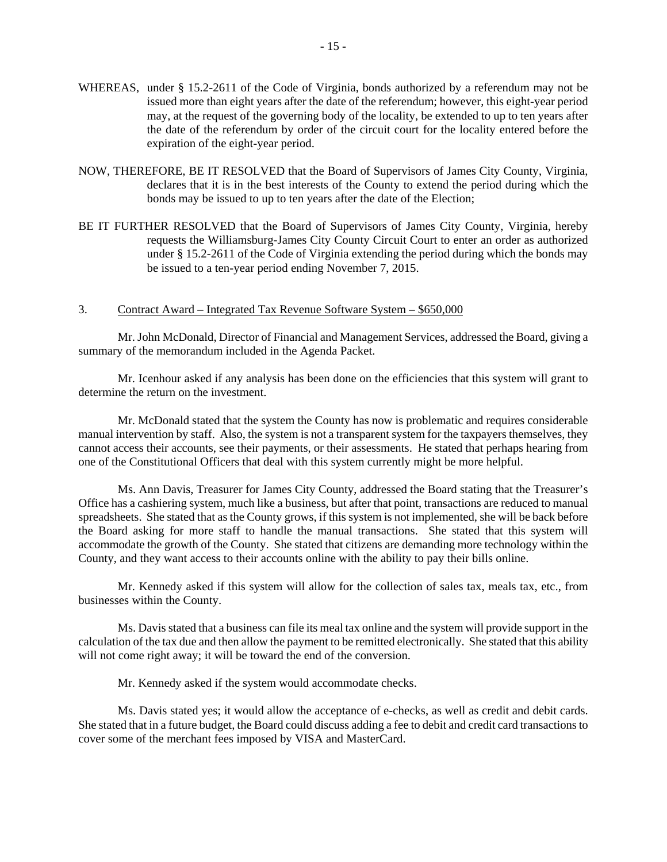- WHEREAS, under § 15.2-2611 of the Code of Virginia, bonds authorized by a referendum may not be issued more than eight years after the date of the referendum; however, this eight-year period may, at the request of the governing body of the locality, be extended to up to ten years after the date of the referendum by order of the circuit court for the locality entered before the expiration of the eight-year period.
- NOW, THEREFORE, BE IT RESOLVED that the Board of Supervisors of James City County, Virginia, declares that it is in the best interests of the County to extend the period during which the bonds may be issued to up to ten years after the date of the Election;
- BE IT FURTHER RESOLVED that the Board of Supervisors of James City County, Virginia, hereby requests the Williamsburg-James City County Circuit Court to enter an order as authorized under § 15.2-2611 of the Code of Virginia extending the period during which the bonds may be issued to a ten-year period ending November 7, 2015.

#### 3. Contract Award – Integrated Tax Revenue Software System – \$650,000

 Mr. John McDonald, Director of Financial and Management Services, addressed the Board, giving a summary of the memorandum included in the Agenda Packet.

 Mr. Icenhour asked if any analysis has been done on the efficiencies that this system will grant to determine the return on the investment.

 Mr. McDonald stated that the system the County has now is problematic and requires considerable manual intervention by staff. Also, the system is not a transparent system for the taxpayers themselves, they cannot access their accounts, see their payments, or their assessments. He stated that perhaps hearing from one of the Constitutional Officers that deal with this system currently might be more helpful.

 Ms. Ann Davis, Treasurer for James City County, addressed the Board stating that the Treasurer's Office has a cashiering system, much like a business, but after that point, transactions are reduced to manual spreadsheets. She stated that as the County grows, if this system is not implemented, she will be back before the Board asking for more staff to handle the manual transactions. She stated that this system will accommodate the growth of the County. She stated that citizens are demanding more technology within the County, and they want access to their accounts online with the ability to pay their bills online.

 Mr. Kennedy asked if this system will allow for the collection of sales tax, meals tax, etc., from businesses within the County.

 Ms. Davis stated that a business can file its meal tax online and the system will provide support in the calculation of the tax due and then allow the payment to be remitted electronically. She stated that this ability will not come right away; it will be toward the end of the conversion.

Mr. Kennedy asked if the system would accommodate checks.

 Ms. Davis stated yes; it would allow the acceptance of e-checks, as well as credit and debit cards. She stated that in a future budget, the Board could discuss adding a fee to debit and credit card transactions to cover some of the merchant fees imposed by VISA and MasterCard.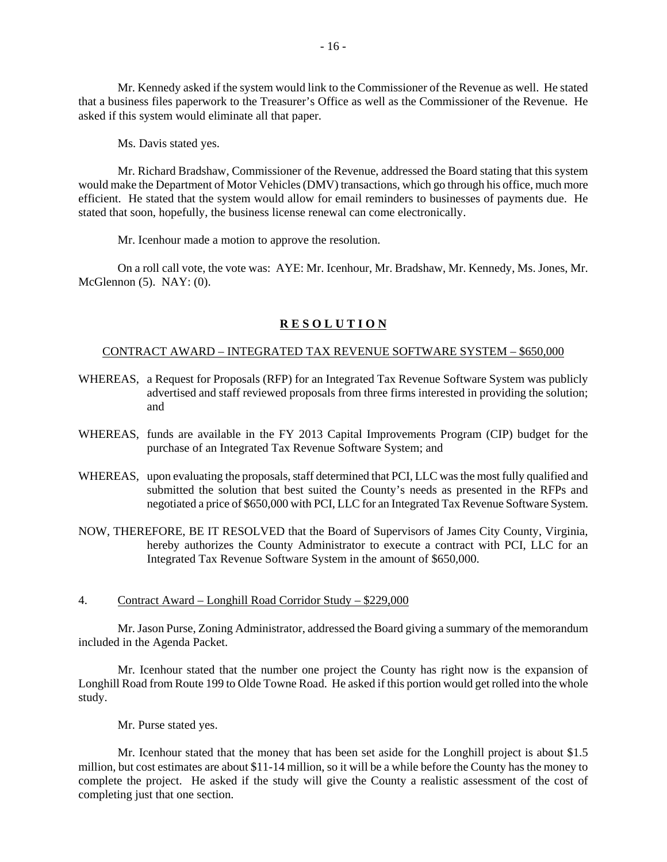Mr. Kennedy asked if the system would link to the Commissioner of the Revenue as well. He stated that a business files paperwork to the Treasurer's Office as well as the Commissioner of the Revenue. He asked if this system would eliminate all that paper.

Ms. Davis stated yes.

 Mr. Richard Bradshaw, Commissioner of the Revenue, addressed the Board stating that this system would make the Department of Motor Vehicles (DMV) transactions, which go through his office, much more efficient. He stated that the system would allow for email reminders to businesses of payments due. He stated that soon, hopefully, the business license renewal can come electronically.

Mr. Icenhour made a motion to approve the resolution.

 On a roll call vote, the vote was: AYE: Mr. Icenhour, Mr. Bradshaw, Mr. Kennedy, Ms. Jones, Mr. McGlennon (5). NAY: (0).

#### **R E S O L U T I O N**

#### CONTRACT AWARD – INTEGRATED TAX REVENUE SOFTWARE SYSTEM – \$650,000

- WHEREAS, a Request for Proposals (RFP) for an Integrated Tax Revenue Software System was publicly advertised and staff reviewed proposals from three firms interested in providing the solution; and
- WHEREAS, funds are available in the FY 2013 Capital Improvements Program (CIP) budget for the purchase of an Integrated Tax Revenue Software System; and
- WHEREAS, upon evaluating the proposals, staff determined that PCI, LLC was the most fully qualified and submitted the solution that best suited the County's needs as presented in the RFPs and negotiated a price of \$650,000 with PCI, LLC for an Integrated Tax Revenue Software System.
- NOW, THEREFORE, BE IT RESOLVED that the Board of Supervisors of James City County, Virginia, hereby authorizes the County Administrator to execute a contract with PCI, LLC for an Integrated Tax Revenue Software System in the amount of \$650,000.
- 4. Contract Award Longhill Road Corridor Study \$229,000

 Mr. Jason Purse, Zoning Administrator, addressed the Board giving a summary of the memorandum included in the Agenda Packet.

 Mr. Icenhour stated that the number one project the County has right now is the expansion of Longhill Road from Route 199 to Olde Towne Road. He asked if this portion would get rolled into the whole study.

Mr. Purse stated yes.

 Mr. Icenhour stated that the money that has been set aside for the Longhill project is about \$1.5 million, but cost estimates are about \$11-14 million, so it will be a while before the County has the money to complete the project. He asked if the study will give the County a realistic assessment of the cost of completing just that one section.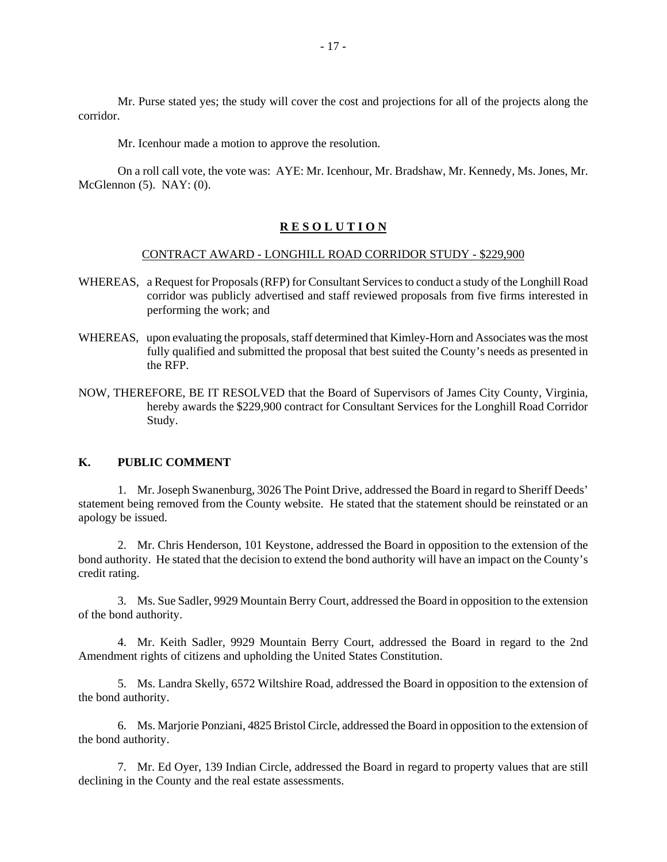Mr. Purse stated yes; the study will cover the cost and projections for all of the projects along the corridor.

Mr. Icenhour made a motion to approve the resolution.

 On a roll call vote, the vote was: AYE: Mr. Icenhour, Mr. Bradshaw, Mr. Kennedy, Ms. Jones, Mr. McGlennon (5). NAY: (0).

#### **R E S O L U T I O N**

#### CONTRACT AWARD - LONGHILL ROAD CORRIDOR STUDY - \$229,900

- WHEREAS, a Request for Proposals (RFP) for Consultant Services to conduct a study of the Longhill Road corridor was publicly advertised and staff reviewed proposals from five firms interested in performing the work; and
- WHEREAS, upon evaluating the proposals, staff determined that Kimley-Horn and Associates was the most fully qualified and submitted the proposal that best suited the County's needs as presented in the RFP.
- NOW, THEREFORE, BE IT RESOLVED that the Board of Supervisors of James City County, Virginia, hereby awards the \$229,900 contract for Consultant Services for the Longhill Road Corridor Study.

## **K. PUBLIC COMMENT**

 1. Mr. Joseph Swanenburg, 3026 The Point Drive, addressed the Board in regard to Sheriff Deeds' statement being removed from the County website. He stated that the statement should be reinstated or an apology be issued.

 2. Mr. Chris Henderson, 101 Keystone, addressed the Board in opposition to the extension of the bond authority. He stated that the decision to extend the bond authority will have an impact on the County's credit rating.

 3. Ms. Sue Sadler, 9929 Mountain Berry Court, addressed the Board in opposition to the extension of the bond authority.

 4. Mr. Keith Sadler, 9929 Mountain Berry Court, addressed the Board in regard to the 2nd Amendment rights of citizens and upholding the United States Constitution.

 5. Ms. Landra Skelly, 6572 Wiltshire Road, addressed the Board in opposition to the extension of the bond authority.

 6. Ms. Marjorie Ponziani, 4825 Bristol Circle, addressed the Board in opposition to the extension of the bond authority.

 7. Mr. Ed Oyer, 139 Indian Circle, addressed the Board in regard to property values that are still declining in the County and the real estate assessments.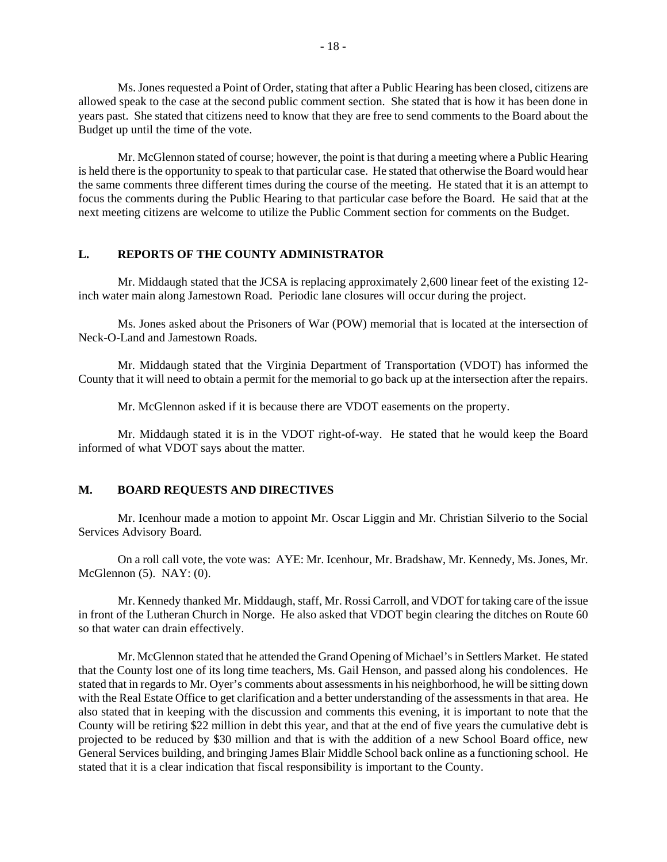Ms. Jones requested a Point of Order, stating that after a Public Hearing has been closed, citizens are allowed speak to the case at the second public comment section. She stated that is how it has been done in years past. She stated that citizens need to know that they are free to send comments to the Board about the Budget up until the time of the vote.

 Mr. McGlennon stated of course; however, the point is that during a meeting where a Public Hearing is held there is the opportunity to speak to that particular case. He stated that otherwise the Board would hear the same comments three different times during the course of the meeting. He stated that it is an attempt to focus the comments during the Public Hearing to that particular case before the Board. He said that at the next meeting citizens are welcome to utilize the Public Comment section for comments on the Budget.

#### **L. REPORTS OF THE COUNTY ADMINISTRATOR**

Mr. Middaugh stated that the JCSA is replacing approximately 2,600 linear feet of the existing 12 inch water main along Jamestown Road. Periodic lane closures will occur during the project.

 Ms. Jones asked about the Prisoners of War (POW) memorial that is located at the intersection of Neck-O-Land and Jamestown Roads.

 Mr. Middaugh stated that the Virginia Department of Transportation (VDOT) has informed the County that it will need to obtain a permit for the memorial to go back up at the intersection after the repairs.

Mr. McGlennon asked if it is because there are VDOT easements on the property.

 Mr. Middaugh stated it is in the VDOT right-of-way. He stated that he would keep the Board informed of what VDOT says about the matter.

#### **M. BOARD REQUESTS AND DIRECTIVES**

 Mr. Icenhour made a motion to appoint Mr. Oscar Liggin and Mr. Christian Silverio to the Social Services Advisory Board.

 On a roll call vote, the vote was: AYE: Mr. Icenhour, Mr. Bradshaw, Mr. Kennedy, Ms. Jones, Mr. McGlennon (5). NAY: (0).

 Mr. Kennedy thanked Mr. Middaugh, staff, Mr. Rossi Carroll, and VDOT for taking care of the issue in front of the Lutheran Church in Norge. He also asked that VDOT begin clearing the ditches on Route 60 so that water can drain effectively.

 Mr. McGlennon stated that he attended the Grand Opening of Michael's in Settlers Market. He stated that the County lost one of its long time teachers, Ms. Gail Henson, and passed along his condolences. He stated that in regards to Mr. Oyer's comments about assessments in his neighborhood, he will be sitting down with the Real Estate Office to get clarification and a better understanding of the assessments in that area. He also stated that in keeping with the discussion and comments this evening, it is important to note that the County will be retiring \$22 million in debt this year, and that at the end of five years the cumulative debt is projected to be reduced by \$30 million and that is with the addition of a new School Board office, new General Services building, and bringing James Blair Middle School back online as a functioning school. He stated that it is a clear indication that fiscal responsibility is important to the County.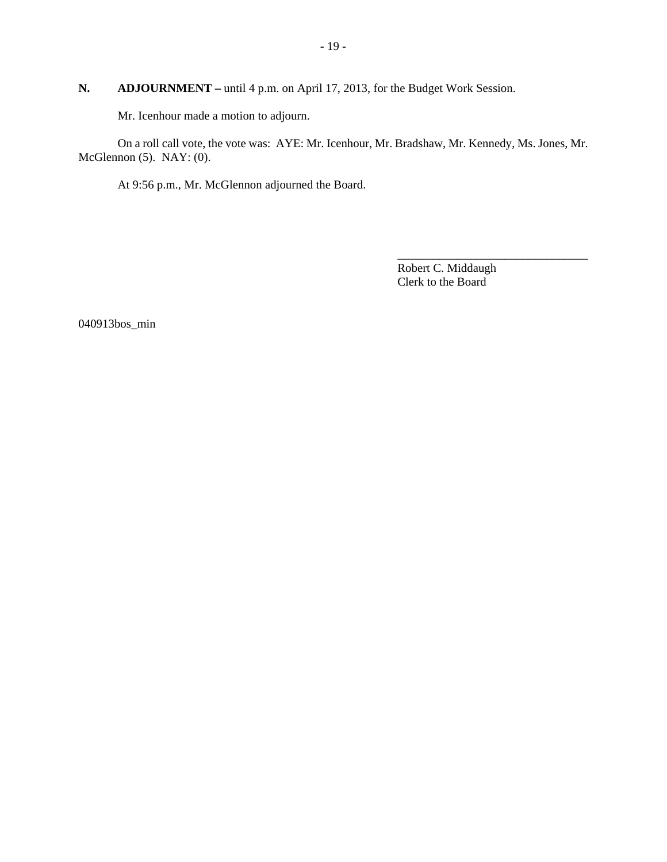# **N. ADJOURNMENT –** until 4 p.m. on April 17, 2013, for the Budget Work Session.

Mr. Icenhour made a motion to adjourn.

 On a roll call vote, the vote was: AYE: Mr. Icenhour, Mr. Bradshaw, Mr. Kennedy, Ms. Jones, Mr. McGlennon (5). NAY: (0).

At 9:56 p.m., Mr. McGlennon adjourned the Board.

Robert C. Middaugh Clerk to the Board

\_\_\_\_\_\_\_\_\_\_\_\_\_\_\_\_\_\_\_\_\_\_\_\_\_\_\_\_\_\_\_\_

040913bos\_min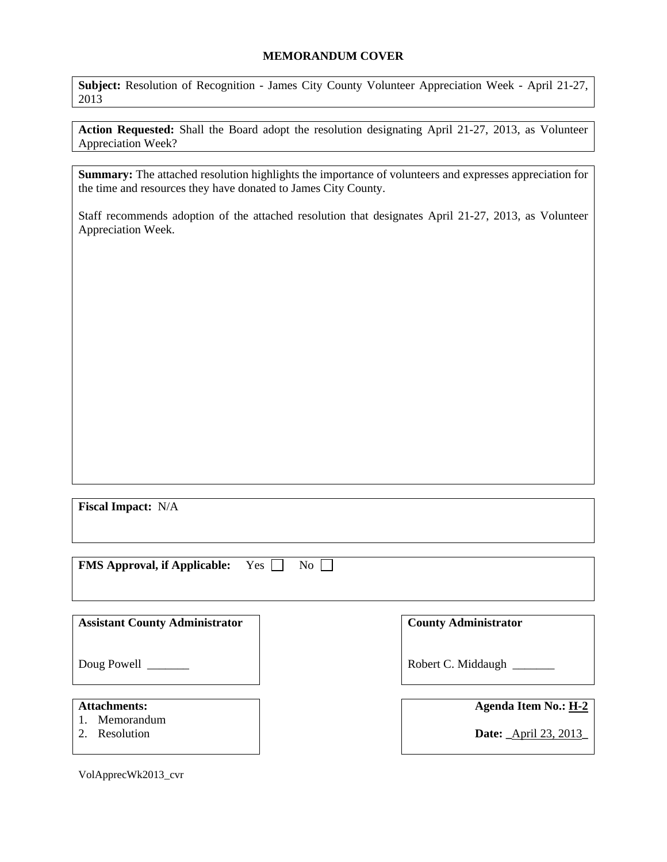#### **MEMORANDUM COVER**

**Subject:** Resolution of Recognition - James City County Volunteer Appreciation Week - April 21-27, 2013

**Action Requested:** Shall the Board adopt the resolution designating April 21-27, 2013, as Volunteer Appreciation Week?

**Summary:** The attached resolution highlights the importance of volunteers and expresses appreciation for the time and resources they have donated to James City County.

Staff recommends adoption of the attached resolution that designates April 21-27, 2013, as Volunteer Appreciation Week.

**Fiscal Impact:** N/A

**FMS Approval, if Applicable:** Yes  $\Box$  No  $\Box$ 

| <b>Assistant County Administrator</b>              | <b>County Administrator</b>                                       |  |
|----------------------------------------------------|-------------------------------------------------------------------|--|
| Doug Powell                                        | Robert C. Middaugh                                                |  |
| <b>Attachments:</b><br>Memorandum<br>2. Resolution | <b>Agenda Item No.: H-2</b><br><b>Date:</b> <u>April 23, 2013</u> |  |
|                                                    |                                                                   |  |

VolApprecWk2013\_cvr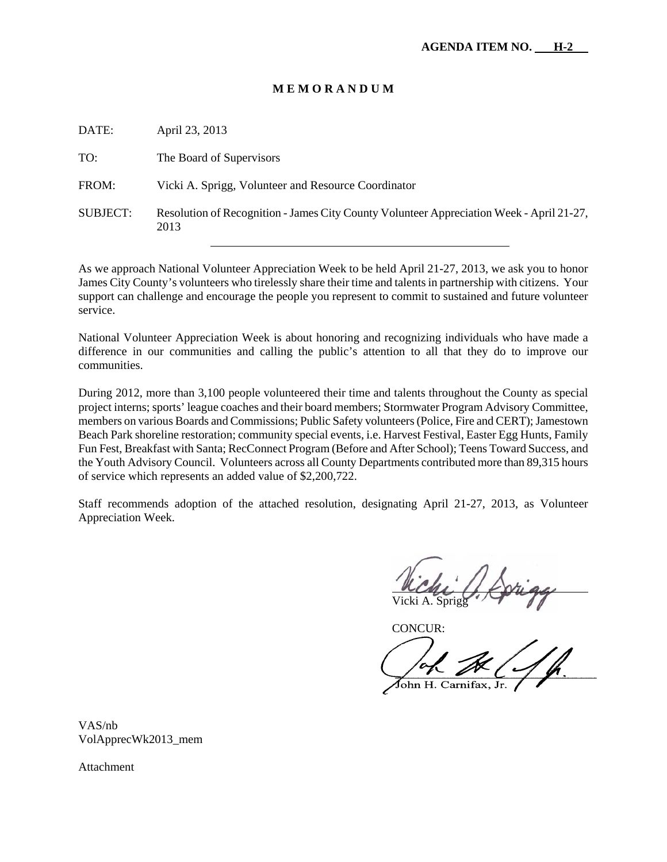#### **M E M O R A N D U M**

DATE: April 23, 2013

TO: The Board of Supervisors

FROM: Vicki A. Sprigg, Volunteer and Resource Coordinator

SUBJECT: Resolution of Recognition - James City County Volunteer Appreciation Week - April 21-27, 2013

As we approach National Volunteer Appreciation Week to be held April 21-27, 2013, we ask you to honor James City County's volunteers who tirelessly share their time and talents in partnership with citizens. Your support can challenge and encourage the people you represent to commit to sustained and future volunteer service.

National Volunteer Appreciation Week is about honoring and recognizing individuals who have made a difference in our communities and calling the public's attention to all that they do to improve our communities.

During 2012, more than 3,100 people volunteered their time and talents throughout the County as special project interns; sports' league coaches and their board members; Stormwater Program Advisory Committee, members on various Boards and Commissions; Public Safety volunteers (Police, Fire and CERT); Jamestown Beach Park shoreline restoration; community special events, i.e. Harvest Festival, Easter Egg Hunts, Family Fun Fest, Breakfast with Santa; RecConnect Program (Before and After School); Teens Toward Success, and the Youth Advisory Council. Volunteers across all County Departments contributed more than 89,315 hours of service which represents an added value of \$2,200,722.

Staff recommends adoption of the attached resolution, designating April 21-27, 2013, as Volunteer Appreciation Week.

Į Vicki A. Sprigg

CONCUR:

John H. Carnifax, Jr.

VAS/nb VolApprecWk2013\_mem

Attachment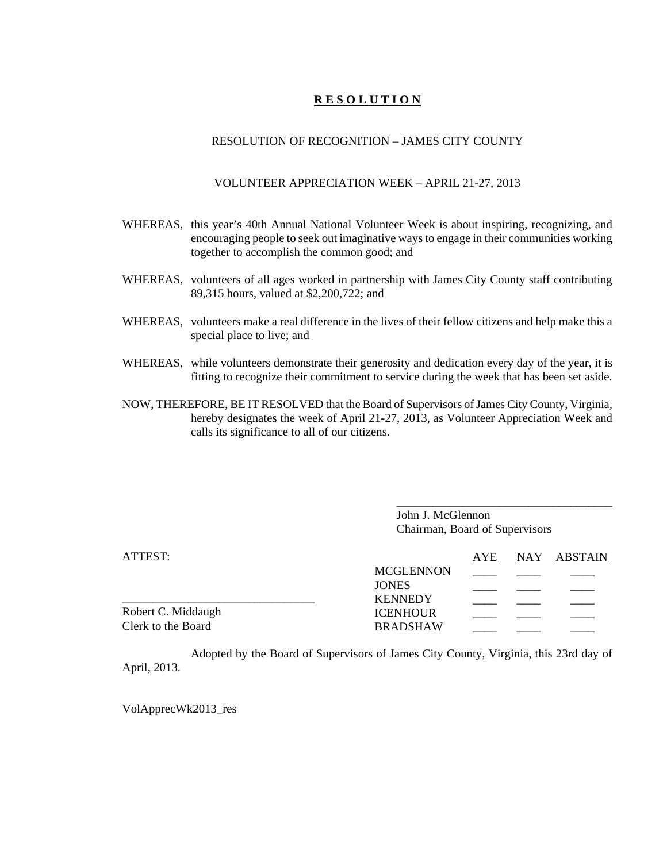## **R E S O L U T I O N**

## RESOLUTION OF RECOGNITION – JAMES CITY COUNTY

#### VOLUNTEER APPRECIATION WEEK – APRIL 21-27, 2013

- WHEREAS, this year's 40th Annual National Volunteer Week is about inspiring, recognizing, and encouraging people to seek out imaginative ways to engage in their communities working together to accomplish the common good; and
- WHEREAS, volunteers of all ages worked in partnership with James City County staff contributing 89,315 hours, valued at \$2,200,722; and
- WHEREAS, volunteers make a real difference in the lives of their fellow citizens and help make this a special place to live; and
- WHEREAS, while volunteers demonstrate their generosity and dedication every day of the year, it is fitting to recognize their commitment to service during the week that has been set aside.
- NOW, THEREFORE, BE IT RESOLVED that the Board of Supervisors of James City County, Virginia, hereby designates the week of April 21-27, 2013, as Volunteer Appreciation Week and calls its significance to all of our citizens.

John J. McGlennon Chairman, Board of Supervisors

\_\_\_\_\_\_\_\_\_\_\_\_\_\_\_\_\_\_\_\_\_\_\_\_\_\_\_\_\_\_\_\_\_\_\_\_

| ATTEST:            |                  | AYE | NAY ABSTAIN |
|--------------------|------------------|-----|-------------|
|                    | <b>MCGLENNON</b> |     |             |
|                    | <b>JONES</b>     |     |             |
|                    | <b>KENNEDY</b>   |     |             |
| Robert C. Middaugh | <b>ICENHOUR</b>  |     |             |
| Clerk to the Board | <b>BRADSHAW</b>  |     |             |

Adopted by the Board of Supervisors of James City County, Virginia, this 23rd day of April, 2013.

VolApprecWk2013\_res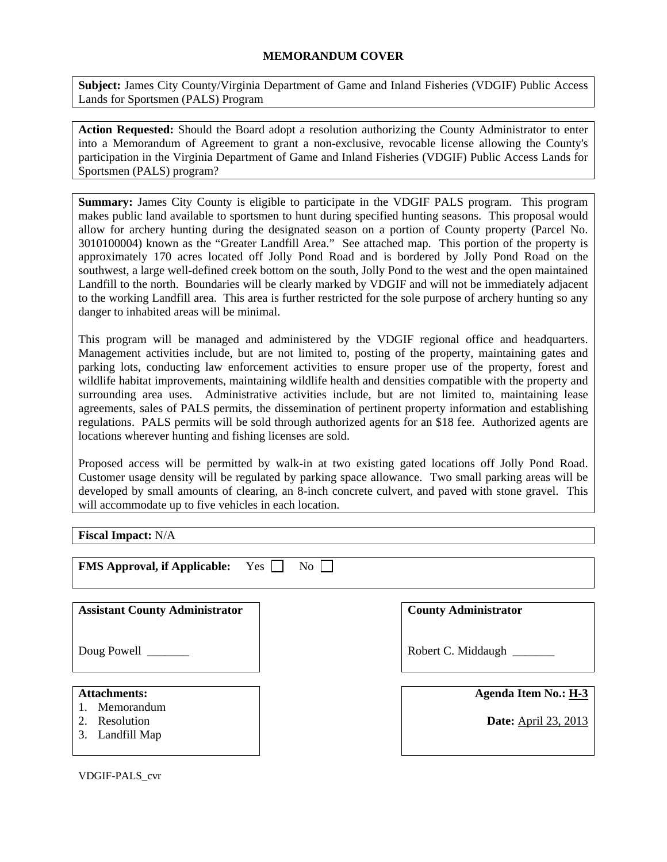**Subject:** James City County/Virginia Department of Game and Inland Fisheries (VDGIF) Public Access Lands for Sportsmen (PALS) Program

**Action Requested:** Should the Board adopt a resolution authorizing the County Administrator to enter into a Memorandum of Agreement to grant a non-exclusive, revocable license allowing the County's participation in the Virginia Department of Game and Inland Fisheries (VDGIF) Public Access Lands for Sportsmen (PALS) program?

**Summary:** James City County is eligible to participate in the VDGIF PALS program. This program makes public land available to sportsmen to hunt during specified hunting seasons. This proposal would allow for archery hunting during the designated season on a portion of County property (Parcel No. 3010100004) known as the "Greater Landfill Area." See attached map. This portion of the property is approximately 170 acres located off Jolly Pond Road and is bordered by Jolly Pond Road on the southwest, a large well-defined creek bottom on the south, Jolly Pond to the west and the open maintained Landfill to the north. Boundaries will be clearly marked by VDGIF and will not be immediately adjacent to the working Landfill area. This area is further restricted for the sole purpose of archery hunting so any danger to inhabited areas will be minimal.

This program will be managed and administered by the VDGIF regional office and headquarters. Management activities include, but are not limited to, posting of the property, maintaining gates and parking lots, conducting law enforcement activities to ensure proper use of the property, forest and wildlife habitat improvements, maintaining wildlife health and densities compatible with the property and surrounding area uses. Administrative activities include, but are not limited to, maintaining lease agreements, sales of PALS permits, the dissemination of pertinent property information and establishing regulations. PALS permits will be sold through authorized agents for an \$18 fee. Authorized agents are locations wherever hunting and fishing licenses are sold.

Proposed access will be permitted by walk-in at two existing gated locations off Jolly Pond Road. Customer usage density will be regulated by parking space allowance. Two small parking areas will be developed by small amounts of clearing, an 8-inch concrete culvert, and paved with stone gravel. This will accommodate up to five vehicles in each location.

**Fiscal Impact:** N/A

| <b>FMS Approval, if Applicable:</b><br>Yes           | $\overline{N_{O}}$          |
|------------------------------------------------------|-----------------------------|
|                                                      |                             |
| <b>Assistant County Administrator</b>                | <b>County Administrator</b> |
| Doug Powell ______                                   | Robert C. Middaugh          |
|                                                      |                             |
| <b>Attachments:</b>                                  | <b>Agenda Item No.: H-3</b> |
| 1. Memorandum<br>2. Resolution<br>Landfill Map<br>3. | <b>Date:</b> April 23, 2013 |

VDGIF-PALS\_cvr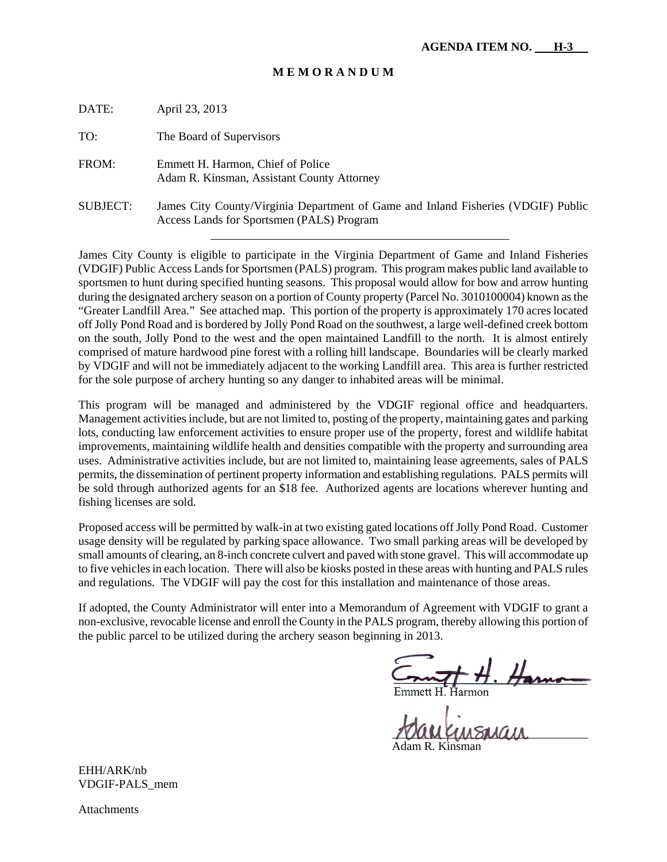#### **M E M O R A N D U M**

| DATE:           | April 23, 2013                                                                                                                 |
|-----------------|--------------------------------------------------------------------------------------------------------------------------------|
| TO:             | The Board of Supervisors                                                                                                       |
| FROM:           | Emmett H. Harmon, Chief of Police<br>Adam R. Kinsman, Assistant County Attorney                                                |
| <b>SUBJECT:</b> | James City County/Virginia Department of Game and Inland Fisheries (VDGIF) Public<br>Access Lands for Sportsmen (PALS) Program |

James City County is eligible to participate in the Virginia Department of Game and Inland Fisheries (VDGIF) Public Access Lands for Sportsmen (PALS) program. This program makes public land available to sportsmen to hunt during specified hunting seasons. This proposal would allow for bow and arrow hunting during the designated archery season on a portion of County property (Parcel No. 3010100004) known as the "Greater Landfill Area." See attached map. This portion of the property is approximately 170 acres located off Jolly Pond Road and is bordered by Jolly Pond Road on the southwest, a large well-defined creek bottom on the south, Jolly Pond to the west and the open maintained Landfill to the north. It is almost entirely comprised of mature hardwood pine forest with a rolling hill landscape. Boundaries will be clearly marked by VDGIF and will not be immediately adjacent to the working Landfill area. This area is further restricted for the sole purpose of archery hunting so any danger to inhabited areas will be minimal.

This program will be managed and administered by the VDGIF regional office and headquarters. Management activities include, but are not limited to, posting of the property, maintaining gates and parking lots, conducting law enforcement activities to ensure proper use of the property, forest and wildlife habitat improvements, maintaining wildlife health and densities compatible with the property and surrounding area uses. Administrative activities include, but are not limited to, maintaining lease agreements, sales of PALS permits, the dissemination of pertinent property information and establishing regulations. PALS permits will be sold through authorized agents for an \$18 fee. Authorized agents are locations wherever hunting and fishing licenses are sold.

Proposed access will be permitted by walk-in at two existing gated locations off Jolly Pond Road. Customer usage density will be regulated by parking space allowance. Two small parking areas will be developed by small amounts of clearing, an 8-inch concrete culvert and paved with stone gravel. This will accommodate up to five vehicles in each location. There will also be kiosks posted in these areas with hunting and PALS rules and regulations. The VDGIF will pay the cost for this installation and maintenance of those areas.

If adopted, the County Administrator will enter into a Memorandum of Agreement with VDGIF to grant a non-exclusive, revocable license and enroll the County in the PALS program, thereby allowing this portion of the public parcel to be utilized during the archery season beginning in 2013.

Harmon

 $\overline{a}$ 

Adam R. Kinsman

EHH/ARK/nb VDGIF-PALS\_mem

Attachments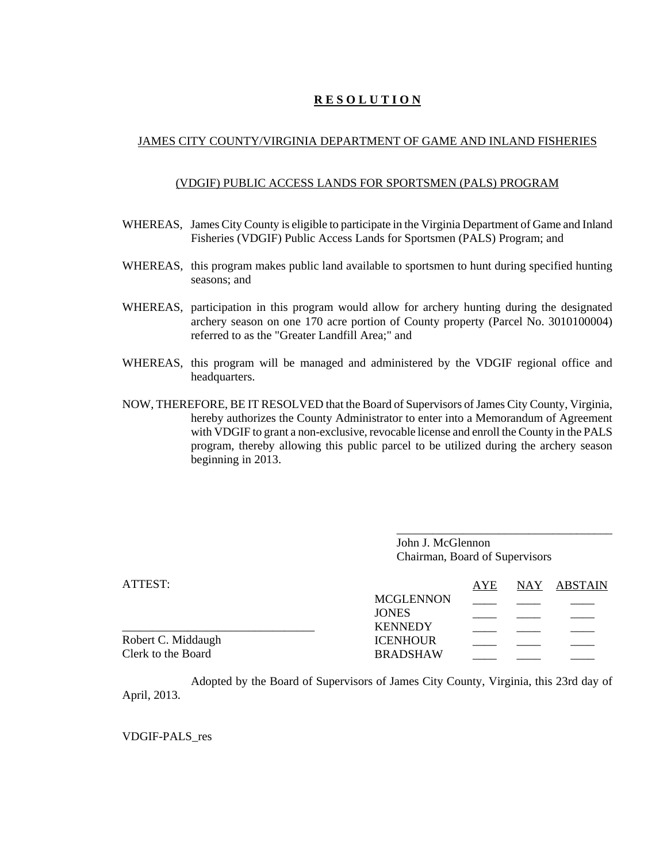# **R E S O L U T I O N**

## JAMES CITY COUNTY/VIRGINIA DEPARTMENT OF GAME AND INLAND FISHERIES

#### (VDGIF) PUBLIC ACCESS LANDS FOR SPORTSMEN (PALS) PROGRAM

- WHEREAS, James City County is eligible to participate in the Virginia Department of Game and Inland Fisheries (VDGIF) Public Access Lands for Sportsmen (PALS) Program; and
- WHEREAS, this program makes public land available to sportsmen to hunt during specified hunting seasons; and
- WHEREAS, participation in this program would allow for archery hunting during the designated archery season on one 170 acre portion of County property (Parcel No. 3010100004) referred to as the "Greater Landfill Area;" and
- WHEREAS, this program will be managed and administered by the VDGIF regional office and headquarters.
- NOW, THEREFORE, BE IT RESOLVED that the Board of Supervisors of James City County, Virginia, hereby authorizes the County Administrator to enter into a Memorandum of Agreement with VDGIF to grant a non-exclusive, revocable license and enroll the County in the PALS program, thereby allowing this public parcel to be utilized during the archery season beginning in 2013.

John J. McGlennon Chairman, Board of Supervisors

\_\_\_\_\_\_\_\_\_\_\_\_\_\_\_\_\_\_\_\_\_\_\_\_\_\_\_\_\_\_\_\_\_\_\_\_

| ATTEST:            |                  | AYE | NAY ABSTAIN |
|--------------------|------------------|-----|-------------|
|                    | <b>MCGLENNON</b> |     |             |
|                    | <b>JONES</b>     |     |             |
|                    | <b>KENNEDY</b>   |     |             |
| Robert C. Middaugh | <b>ICENHOUR</b>  |     |             |
| Clerk to the Board | <b>BRADSHAW</b>  |     |             |

Adopted by the Board of Supervisors of James City County, Virginia, this 23rd day of April, 2013.

VDGIF-PALS\_res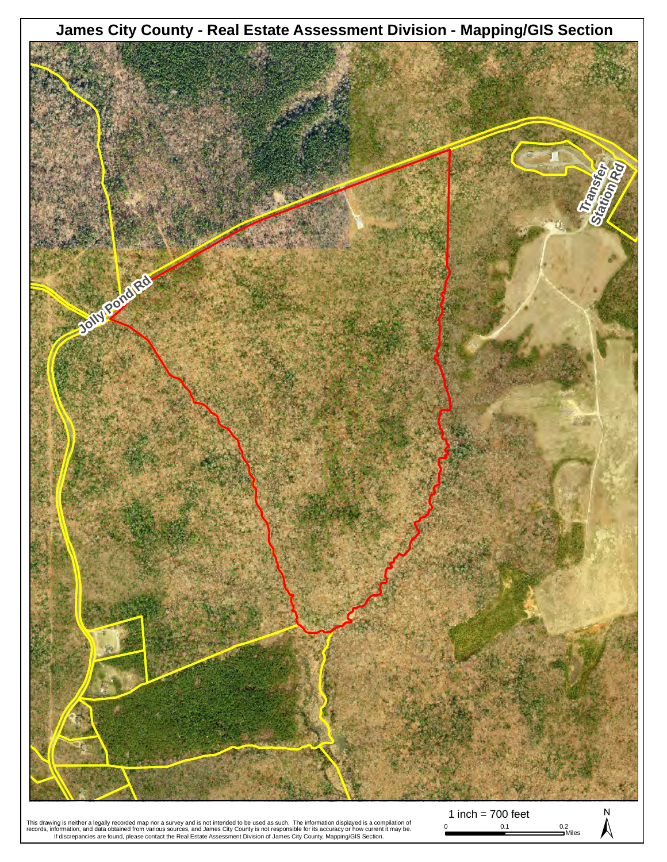

This drawing is neither a legally recorded map nor a survey and is not intended to be used as such. The information displayed is a compilation of<br>records, information, and data obtained from various sources, and James City

1 inch = 700 feet  $\sum_{0.1}^{0.1}$   $\sum_{\text{Miles}}^{0.2}$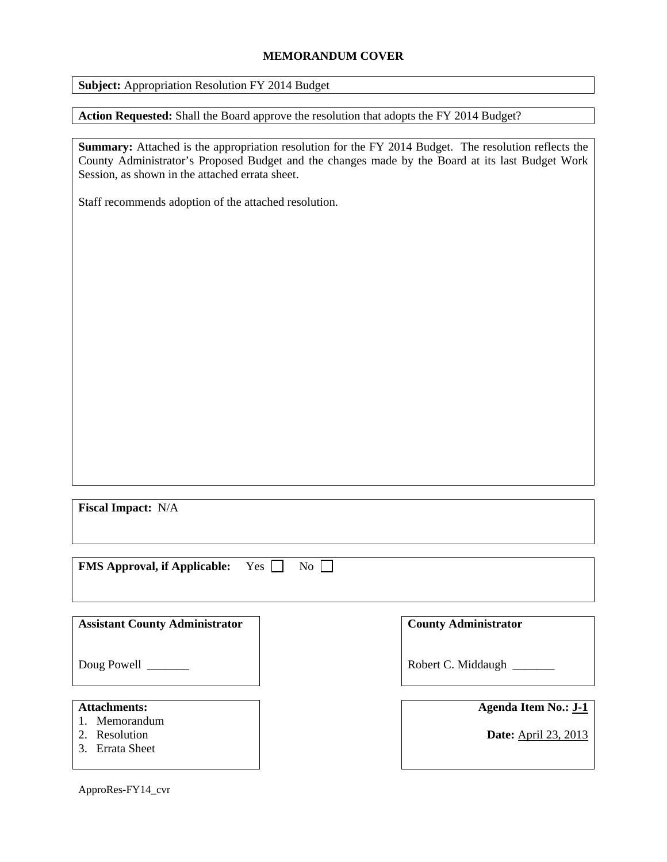#### **MEMORANDUM COVER**

**Subject:** Appropriation Resolution FY 2014 Budget

**Action Requested:** Shall the Board approve the resolution that adopts the FY 2014 Budget?

**Summary:** Attached is the appropriation resolution for the FY 2014 Budget. The resolution reflects the County Administrator's Proposed Budget and the changes made by the Board at its last Budget Work Session, as shown in the attached errata sheet.

Staff recommends adoption of the attached resolution.

**Fiscal Impact:** N/A

**FMS Approval, if Applicable:** Yes  $\Box$  No  $\Box$ 

| <b>Assistant County Administrator</b>                                 | <b>County Administrator</b>                                |
|-----------------------------------------------------------------------|------------------------------------------------------------|
| Doug Powell                                                           | Robert C. Middaugh                                         |
| <b>Attachments:</b><br>1. Memorandum<br>2. Resolution<br>Errata Sheet | <b>Agenda Item No.: J-1</b><br><b>Date:</b> April 23, 2013 |

ApproRes-FY14\_cvr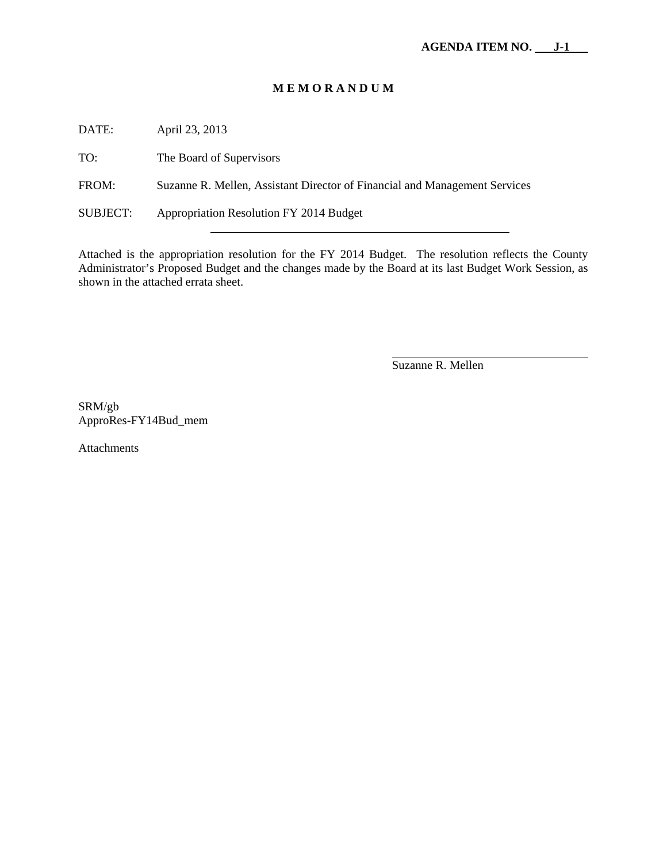#### **M E M O R A N D U M**

DATE: April 23, 2013

TO: The Board of Supervisors

FROM: Suzanne R. Mellen, Assistant Director of Financial and Management Services

SUBJECT: Appropriation Resolution FY 2014 Budget

Attached is the appropriation resolution for the FY 2014 Budget. The resolution reflects the County Administrator's Proposed Budget and the changes made by the Board at its last Budget Work Session, as shown in the attached errata sheet.

Suzanne R. Mellen

 $\overline{\phantom{a}}$ 

SRM/gb ApproRes-FY14Bud\_mem

Attachments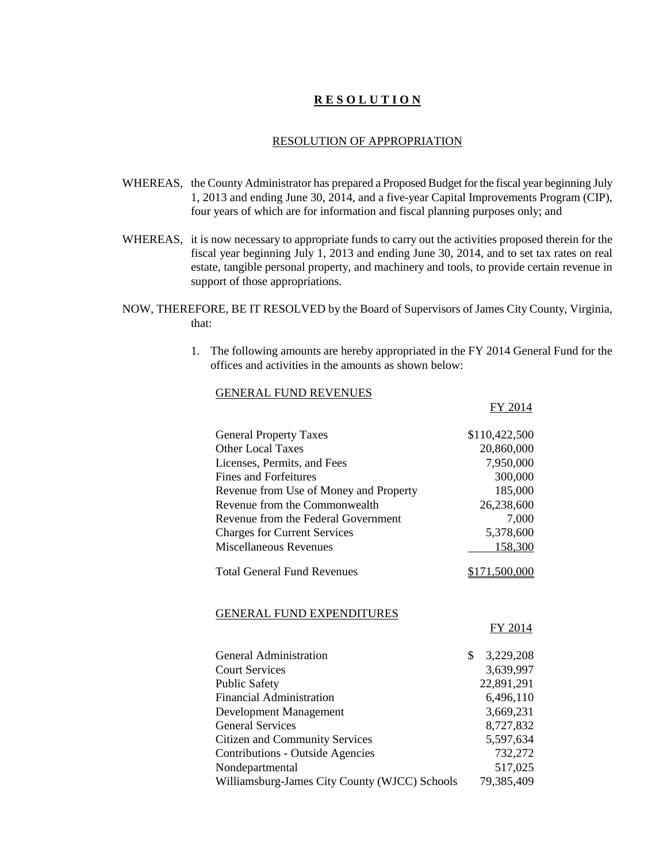## **R E S O L U T I O N**

#### RESOLUTION OF APPROPRIATION

- WHEREAS, the County Administrator has prepared a Proposed Budget for the fiscal year beginning July 1, 2013 and ending June 30, 2014, and a five-year Capital Improvements Program (CIP), four years of which are for information and fiscal planning purposes only; and
- WHEREAS, it is now necessary to appropriate funds to carry out the activities proposed therein for the fiscal year beginning July 1, 2013 and ending June 30, 2014, and to set tax rates on real estate, tangible personal property, and machinery and tools, to provide certain revenue in support of those appropriations.
- NOW, THEREFORE, BE IT RESOLVED by the Board of Supervisors of James City County, Virginia, that:
	- 1. The following amounts are hereby appropriated in the FY 2014 General Fund for the offices and activities in the amounts as shown below:

FY 2014

#### GENERAL FUND REVENUES

| <b>General Property Taxes</b>                 | \$110,422,500   |
|-----------------------------------------------|-----------------|
| <b>Other Local Taxes</b>                      | 20,860,000      |
| Licenses, Permits, and Fees                   | 7,950,000       |
| <b>Fines and Forfeitures</b>                  | 300,000         |
| Revenue from Use of Money and Property        | 185,000         |
| Revenue from the Commonwealth                 | 26,238,600      |
| Revenue from the Federal Government           | 7,000           |
| <b>Charges for Current Services</b>           | 5,378,600       |
| <b>Miscellaneous Revenues</b>                 | 158,300         |
| <b>Total General Fund Revenues</b>            | \$171,500,000   |
| <b>GENERAL FUND EXPENDITURES</b>              | <b>FY 2014</b>  |
| General Administration                        | \$<br>3,229,208 |
| <b>Court Services</b>                         | 3,639,997       |
| <b>Public Safety</b>                          | 22,891,291      |
| <b>Financial Administration</b>               | 6,496,110       |
| Development Management                        | 3,669,231       |
| <b>General Services</b>                       | 8,727,832       |
| <b>Citizen and Community Services</b>         | 5,597,634       |
| <b>Contributions - Outside Agencies</b>       | 732,272         |
| Nondepartmental                               | 517,025         |
| Williamsburg-James City County (WJCC) Schools | 79,385,409      |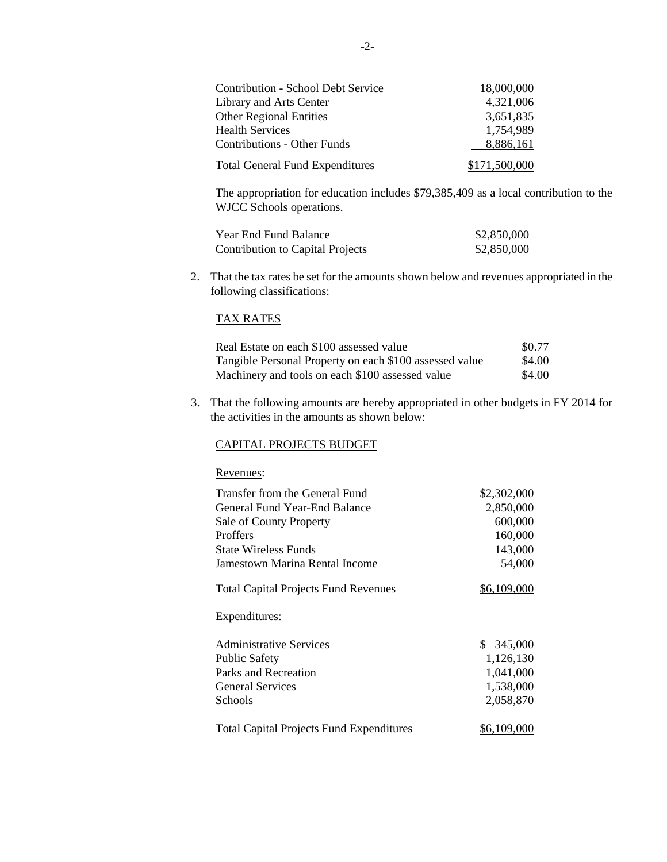| <b>Contribution - School Debt Service</b> | 18,000,000    |
|-------------------------------------------|---------------|
| Library and Arts Center                   | 4,321,006     |
| <b>Other Regional Entities</b>            | 3,651,835     |
| <b>Health Services</b>                    | 1,754,989     |
| <b>Contributions - Other Funds</b>        | 8,886,161     |
| <b>Total General Fund Expenditures</b>    | \$171,500,000 |

The appropriation for education includes \$79,385,409 as a local contribution to the WJCC Schools operations.

| Year End Fund Balance            | \$2,850,000 |
|----------------------------------|-------------|
| Contribution to Capital Projects | \$2,850,000 |

2. That the tax rates be set for the amounts shown below and revenues appropriated in the following classifications:

#### TAX RATES

| Real Estate on each \$100 assessed value                | \$0.77 |
|---------------------------------------------------------|--------|
| Tangible Personal Property on each \$100 assessed value | \$4.00 |
| Machinery and tools on each \$100 assessed value        | \$4.00 |

3. That the following amounts are hereby appropriated in other budgets in FY 2014 for the activities in the amounts as shown below:

#### CAPITAL PROJECTS BUDGET

#### Revenues:

| Transfer from the General Fund                  | \$2,302,000 |
|-------------------------------------------------|-------------|
| General Fund Year-End Balance                   | 2,850,000   |
| Sale of County Property                         | 600,000     |
| Proffers                                        | 160,000     |
| <b>State Wireless Funds</b>                     | 143,000     |
| Jamestown Marina Rental Income                  | 54,000      |
| <b>Total Capital Projects Fund Revenues</b>     | \$6,109,000 |
| Expenditures:                                   |             |
| <b>Administrative Services</b>                  | \$345,000   |
| <b>Public Safety</b>                            | 1,126,130   |
| Parks and Recreation                            | 1,041,000   |
| <b>General Services</b>                         | 1,538,000   |
| <b>Schools</b>                                  | 2,058,870   |
| <b>Total Capital Projects Fund Expenditures</b> | \$6,109,000 |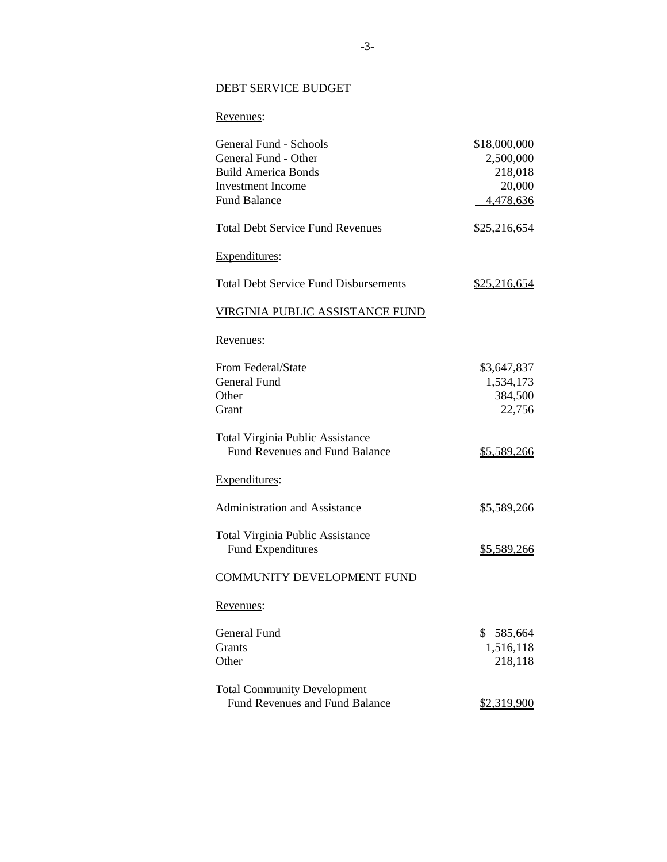#### DEBT SERVICE BUDGET

# Revenues:

| General Fund - Schools                                                           | \$18,000,000        |
|----------------------------------------------------------------------------------|---------------------|
| General Fund - Other                                                             | 2,500,000           |
| <b>Build America Bonds</b>                                                       | 218,018             |
| <b>Investment Income</b>                                                         | 20,000              |
| <b>Fund Balance</b>                                                              | 4,478,636           |
| <b>Total Debt Service Fund Revenues</b>                                          | \$25,216,654        |
| Expenditures:                                                                    |                     |
| <b>Total Debt Service Fund Disbursements</b>                                     | <u>\$25,216,654</u> |
| <u>VIRGINIA PUBLIC ASSISTANCE FUND</u>                                           |                     |
| Revenues:                                                                        |                     |
| From Federal/State                                                               | \$3,647,837         |
| General Fund                                                                     | 1,534,173           |
| Other                                                                            | 384,500             |
| Grant                                                                            | 22,756              |
| <b>Total Virginia Public Assistance</b><br><b>Fund Revenues and Fund Balance</b> | \$5,589,266         |
| Expenditures:                                                                    |                     |
| <b>Administration and Assistance</b>                                             | <u>\$5,589,266</u>  |
| <b>Total Virginia Public Assistance</b><br><b>Fund Expenditures</b>              | \$5,589,266         |
| <b>COMMUNITY DEVELOPMENT FUND</b>                                                |                     |
| Revenues:                                                                        |                     |
| General Fund                                                                     | \$<br>585,664       |
| <b>Grants</b>                                                                    | 1,516,118           |
| Other                                                                            | 218,118             |
| <b>Total Community Development</b>                                               |                     |
| <b>Fund Revenues and Fund Balance</b>                                            | <u>\$2,319,900</u>  |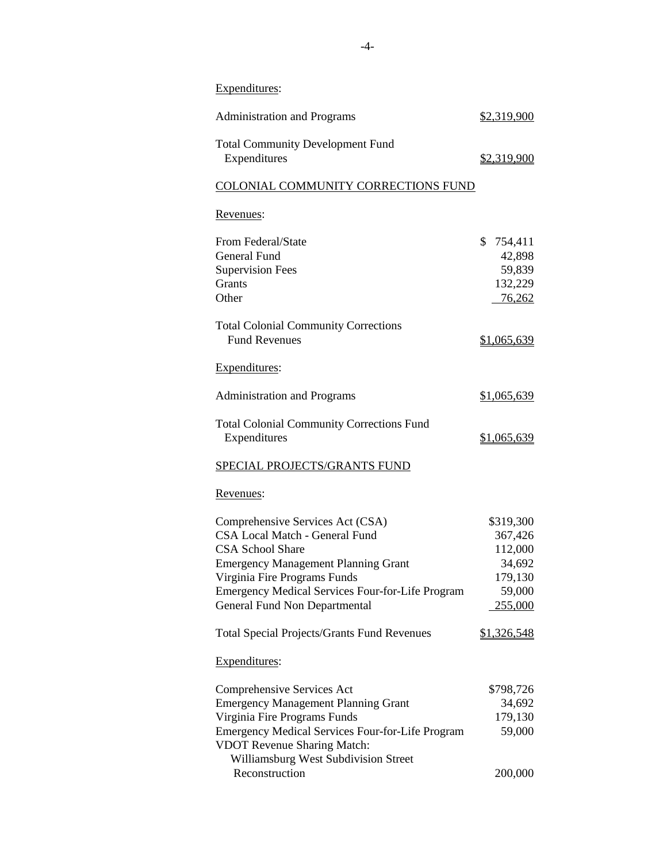| Expenditures:                                                                                                                                                                                                                                                                  |                                                                           |
|--------------------------------------------------------------------------------------------------------------------------------------------------------------------------------------------------------------------------------------------------------------------------------|---------------------------------------------------------------------------|
| <b>Administration and Programs</b>                                                                                                                                                                                                                                             | \$2,319,900                                                               |
| <b>Total Community Development Fund</b><br>Expenditures                                                                                                                                                                                                                        | \$2,319,900                                                               |
| COLONIAL COMMUNITY CORRECTIONS FUND                                                                                                                                                                                                                                            |                                                                           |
| Revenues:                                                                                                                                                                                                                                                                      |                                                                           |
| From Federal/State<br><b>General Fund</b><br><b>Supervision Fees</b><br>Grants<br>Other                                                                                                                                                                                        | \$<br>754,411<br>42,898<br>59,839<br>132,229<br>76,262                    |
| <b>Total Colonial Community Corrections</b><br><b>Fund Revenues</b>                                                                                                                                                                                                            | \$1,065,639                                                               |
| Expenditures:                                                                                                                                                                                                                                                                  |                                                                           |
| <b>Administration and Programs</b>                                                                                                                                                                                                                                             | \$1,065,639                                                               |
| <b>Total Colonial Community Corrections Fund</b><br>Expenditures                                                                                                                                                                                                               | \$1,065,639                                                               |
| <b>SPECIAL PROJECTS/GRANTS FUND</b>                                                                                                                                                                                                                                            |                                                                           |
| Revenues:                                                                                                                                                                                                                                                                      |                                                                           |
| Comprehensive Services Act (CSA)<br><b>CSA Local Match - General Fund</b><br><b>CSA School Share</b><br><b>Emergency Management Planning Grant</b><br>Virginia Fire Programs Funds<br><b>Emergency Medical Services Four-for-Life Program</b><br>General Fund Non Departmental | \$319,300<br>367,426<br>112,000<br>34,692<br>179,130<br>59,000<br>255,000 |
| <b>Total Special Projects/Grants Fund Revenues</b>                                                                                                                                                                                                                             | \$1,326,548                                                               |
| Expenditures:                                                                                                                                                                                                                                                                  |                                                                           |
| Comprehensive Services Act<br><b>Emergency Management Planning Grant</b><br>Virginia Fire Programs Funds<br>Emergency Medical Services Four-for-Life Program<br><b>VDOT Revenue Sharing Match:</b><br>Williamsburg West Subdivision Street                                     | \$798,726<br>34,692<br>179,130<br>59,000                                  |
| Reconstruction                                                                                                                                                                                                                                                                 | 200,000                                                                   |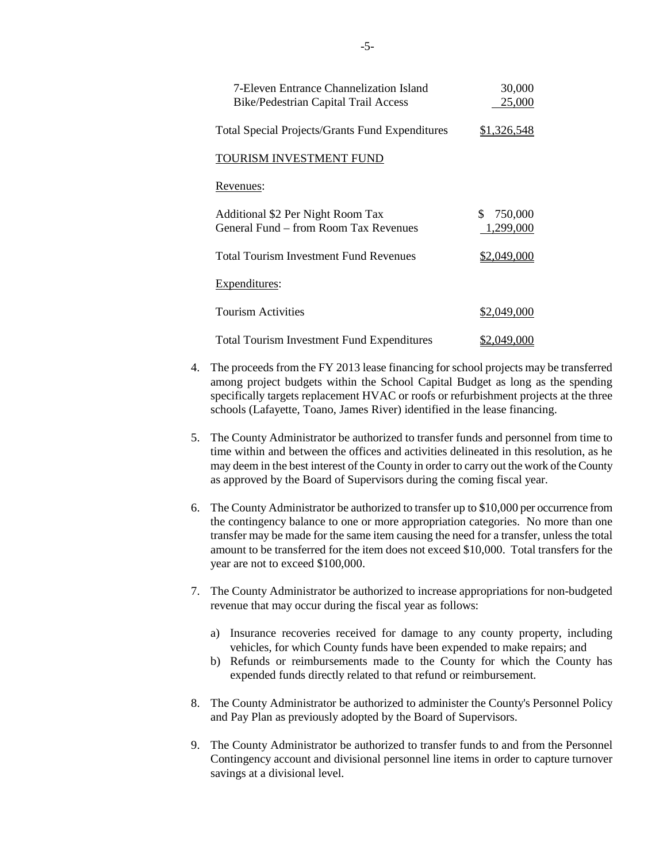| <b>7-Eleven Entrance Channelization Island</b><br><b>Bike/Pedestrian Capital Trail Access</b> | 30,000<br>25,000           |
|-----------------------------------------------------------------------------------------------|----------------------------|
| <b>Total Special Projects/Grants Fund Expenditures</b>                                        | <u>\$1,326,548</u>         |
| TOURISM INVESTMENT FUND                                                                       |                            |
| Revenues:                                                                                     |                            |
| Additional \$2 Per Night Room Tax<br>General Fund – from Room Tax Revenues                    | 750,000<br>\$<br>1,299,000 |
| <b>Total Tourism Investment Fund Revenues</b>                                                 | \$2,049,000                |
| Expenditures:                                                                                 |                            |
| <b>Tourism Activities</b>                                                                     | \$2,049,000                |
| <b>Total Tourism Investment Fund Expenditures</b>                                             | \$2,049,000                |

- 4. The proceeds from the FY 2013 lease financing for school projects may be transferred among project budgets within the School Capital Budget as long as the spending specifically targets replacement HVAC or roofs or refurbishment projects at the three schools (Lafayette, Toano, James River) identified in the lease financing.
- 5. The County Administrator be authorized to transfer funds and personnel from time to time within and between the offices and activities delineated in this resolution, as he may deem in the best interest of the County in order to carry out the work of the County as approved by the Board of Supervisors during the coming fiscal year.
- 6. The County Administrator be authorized to transfer up to \$10,000 per occurrence from the contingency balance to one or more appropriation categories. No more than one transfer may be made for the same item causing the need for a transfer, unless the total amount to be transferred for the item does not exceed \$10,000. Total transfers for the year are not to exceed \$100,000.
- 7. The County Administrator be authorized to increase appropriations for non-budgeted revenue that may occur during the fiscal year as follows:
	- a) Insurance recoveries received for damage to any county property, including vehicles, for which County funds have been expended to make repairs; and
	- b) Refunds or reimbursements made to the County for which the County has expended funds directly related to that refund or reimbursement.
- 8. The County Administrator be authorized to administer the County's Personnel Policy and Pay Plan as previously adopted by the Board of Supervisors.
- 9. The County Administrator be authorized to transfer funds to and from the Personnel Contingency account and divisional personnel line items in order to capture turnover savings at a divisional level.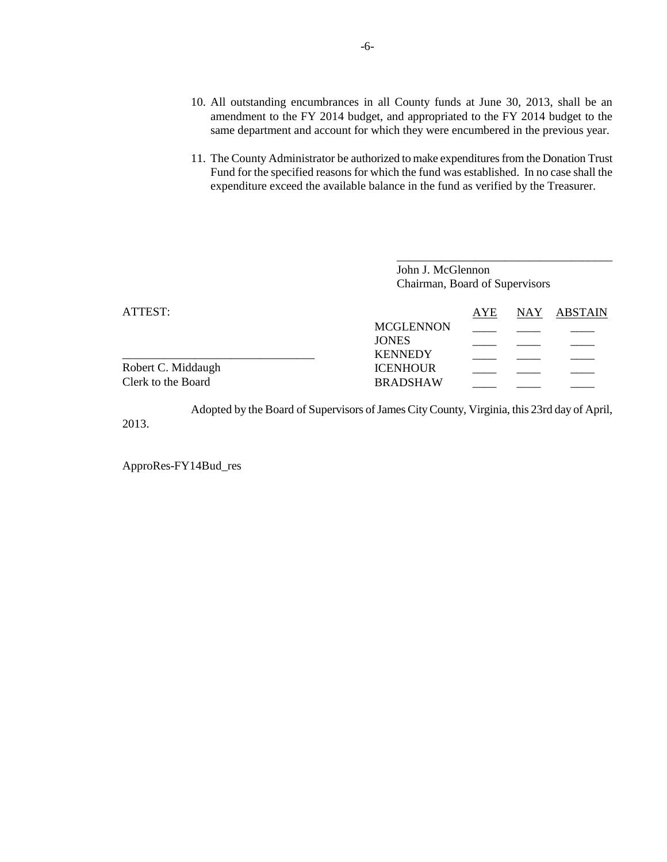- 10. All outstanding encumbrances in all County funds at June 30, 2013, shall be an amendment to the FY 2014 budget, and appropriated to the FY 2014 budget to the same department and account for which they were encumbered in the previous year.
- 11. The County Administrator be authorized to make expenditures from the Donation Trust Fund for the specified reasons for which the fund was established. In no case shall the expenditure exceed the available balance in the fund as verified by the Treasurer.

|                    | John J. McGlennon<br>Chairman, Board of Supervisors |     |  |             |
|--------------------|-----------------------------------------------------|-----|--|-------------|
| ATTEST:            |                                                     | AYE |  | NAY ABSTAIN |
|                    | <b>MCGLENNON</b>                                    |     |  |             |
|                    | <b>JONES</b><br><b>KENNEDY</b>                      |     |  |             |
| Robert C. Middaugh | <b>ICENHOUR</b>                                     |     |  |             |
| Clerk to the Board | <b>BRADSHAW</b>                                     |     |  |             |

Adopted by the Board of Supervisors of James City County, Virginia, this 23rd day of April, 2013.

ApproRes-FY14Bud\_res